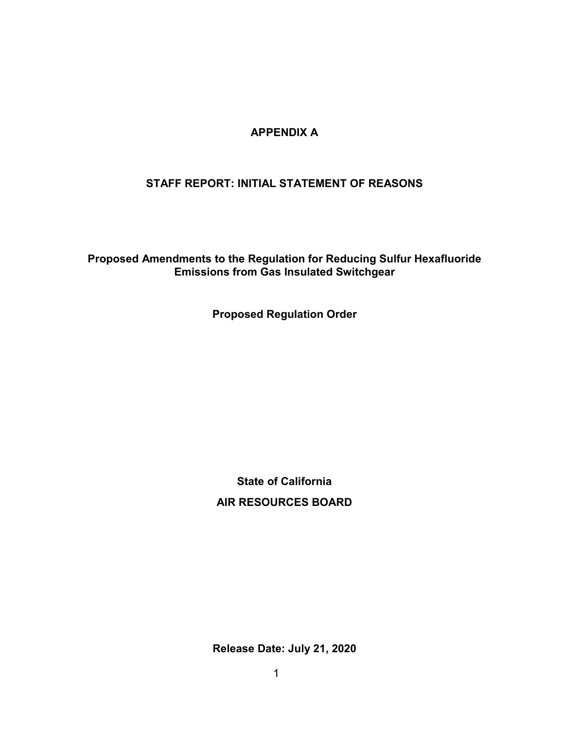# **APPENDIX A**

# **STAFF REPORT: INITIAL STATEMENT OF REASONS**

**Proposed Amendments to the Regulation for Reducing Sulfur Hexafluoride Emissions from Gas Insulated Switchgear** 

**Proposed Regulation Order** 

**State of California AIR RESOURCES BOARD** 

 **Release Date: July 21, 2020**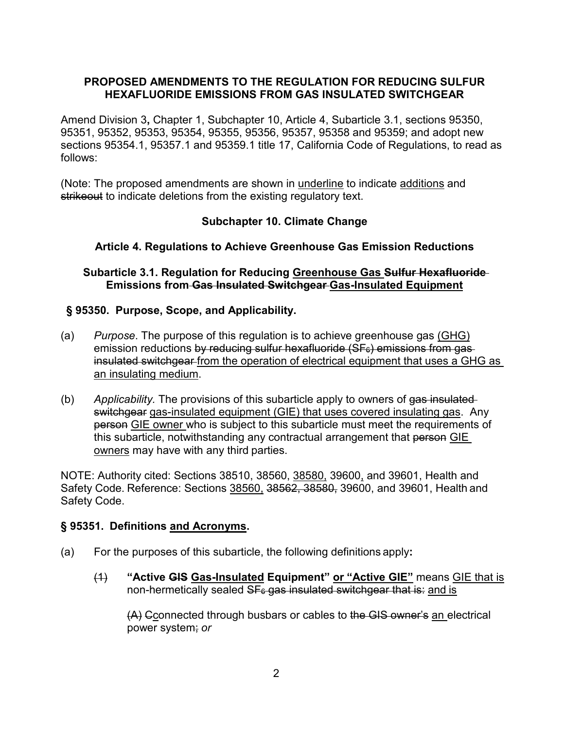## **PROPOSED AMENDMENTS TO THE REGULATION FOR REDUCING SULFUR HEXAFLUORIDE EMISSIONS FROM GAS INSULATED SWITCHGEAR**

 Amend Division 3**,** Chapter 1, Subchapter 10, Article 4, Subarticle 3.1, sections 95350, 95351, 95352, 95353, 95354, 95355, 95356, 95357, 95358 and 95359; and adopt new sections 95354.1, 95357.1 and 95359.1 title 17, California Code of Regulations, to read as follows:

(Note: The proposed amendments are shown in underline to indicate additions and strikeout to indicate deletions from the existing regulatory text.

# **Subchapter 10. Climate Change**

# **Article 4. Regulations to Achieve Greenhouse Gas Emission Reductions**

## **Emissions from Gas Insulated Switchgear Gas-Insulated Equipment Subarticle 3.1. Regulation for Reducing Greenhouse Gas Sulfur Hexafluoride**

# **§ 95350. Purpose, Scope, and Applicability.**

- insulated switchgear from the operation of electrical equipment that uses a GHG as (a) *Purpose*. The purpose of this regulation is to achieve greenhouse gas (GHG) emission reductions by reducing sulfur hexafluoride  $(SF<sub>6</sub>)$  emissions from gasan insulating medium.
- switchgear gas-insulated equipment (GIE) that uses covered insulating gas. Any <u>owners</u> may have with any third parties. (b) *Applicability.* The provisions of this subarticle apply to owners of gas insulated person GIE owner who is subject to this subarticle must meet the requirements of this subarticle, notwithstanding any contractual arrangement that person GIE

 NOTE: Authority cited: Sections 38510, 38560, 38580, 39600, and 39601, Health and Safety Code. Reference: Sections <u>38560,</u> <del>38562, 38580,</del> 39600, and 39601, Health and Safety Code.

#### **§ 95351. Definitions and Acronyms.**

- (a) For the purposes of this subarticle, the following definitions apply**:** 
	- $(4)$ non-hermetically sealed <del>SFേgas insulated switchgear that is:</del> <u>and is</u> "Active GIS Gas-Insulated Equipment" or "Active GIE" means GIE that is

 power system; *or*  (A) Cconnected through busbars or cables to the GIS owner's an electrical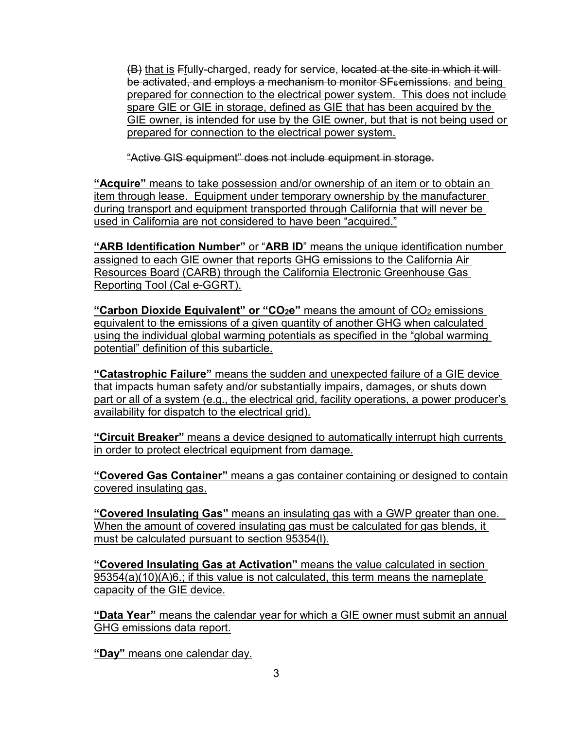<del>(B)</del> <u>that is</u> F<u>f</u>ully-charged, ready for service, l<del>ocated at the site in which it will</del> be activated, and employs a mechanism to monitor SF $_{\rm 6}$ emissions. <u>and being</u> prepared for connection to the electrical power system. This does not include spare GIE or GIE in storage, defined as GIE that has been acquired by the GIE owner, is intended for use by the GIE owner, but that is not being used or prepared for connection to the electrical power system.

"Active GIS equipment" does not include equipment in storage.

 item through lease. Equipment under temporary ownership by the manufacturer **"Acquire"** means to take possession and/or ownership of an item or to obtain an during transport and equipment transported through California that will never be used in California are not considered to have been "acquired."

 **"ARB Identification Number"** or "**ARB ID**" means the unique identification number Reporting Tool (Cal e-GGRT). assigned to each GIE owner that reports GHG emissions to the California Air Resources Board (CARB) through the California Electronic Greenhouse Gas

<u>**"Carbon Dioxide Equivalent" or "CO2e"** means the amount of CO<sub>2</sub> emissions</u> equivalent to the emissions of a given quantity of another GHG when calculated using the individual global warming potentials as specified in the "global warming potential" definition of this subarticle.

**"Catastrophic Failure"** means the sudden and unexpected failure of a GIE device that impacts human safety and/or substantially impairs, damages, or shuts down part or all of a system (e.g., the electrical grid, facility operations, a power producer's availability for dispatch to the electrical grid).

 in order to protect electrical equipment from damage. **"Circuit Breaker"** means a device designed to automatically interrupt high currents

**"Covered Gas Container"** means a gas container containing or designed to contain covered insulating gas.

"Covered Insulating Gas" means an insulating gas with a GWP greater than one. <u>"Covered Insulating Gas" means an insulating gas with a GWP greater than one.</u><br>When the amount of covered insulating gas must be calculated for gas blends, it must be calculated pursuant to section 95354(l).

**"Covered Insulating Gas at Activation"** means the value calculated in section 95354(a)(10)(A)6.; if this value is not calculated, this term means the nameplate capacity of the GIE device.

**"Data Year"** means the calendar year for which a GIE owner must submit an annual GHG emissions data report.

**"Day"** means one calendar day.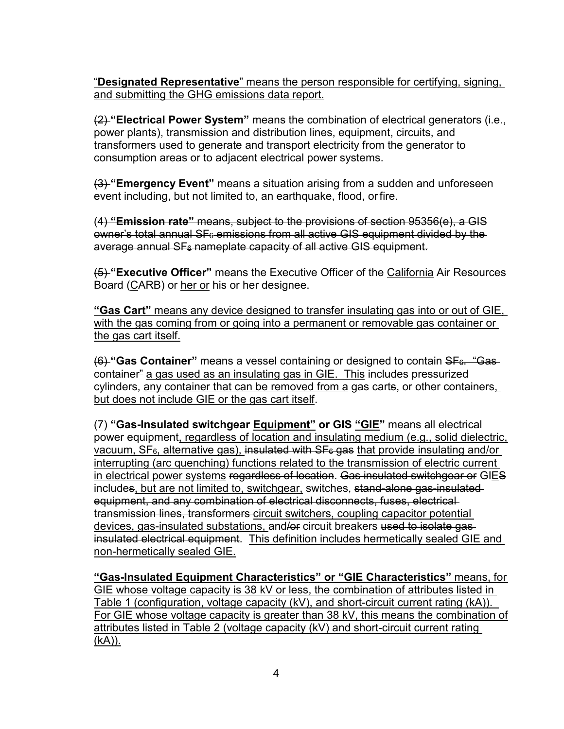"**Designated Representative**" means the person responsible for certifying, signing, and submitting the GHG emissions data report.

 consumption areas or to adjacent electrical power systems. (2) **"Electrical Power System"** means the combination of electrical generators (i.e., power plants), transmission and distribution lines, equipment, circuits, and transformers used to generate and transport electricity from the generator to

 event including, but not limited to, an earthquake, flood, or fire. (3) **"Emergency Event"** means a situation arising from a sudden and unforeseen

(4) **"Emission rate"** means, subject to the provisions of section 95356(e), a GIS  $\omega$ wner's total annual SF $_{6}$  emissions from all active GIS equipment divided by the average annual SF<sub>6</sub> nameplate capacity of all active GIS equipment.

Board (<u>C</u>ARB) or <u>her or</u> his <del>or her</del> designee. (5) **"Executive Officer"** means the Executive Officer of the California Air Resources

 **"Gas Cart"** means any device designed to transfer insulating gas into or out of GIE, with the gas coming from or going into a permanent or removable gas container or the gas cart itself.

 container" a gas used as an insulating gas in GIE. This includes pressurized (6) "Gas Container" means a vessel containing or designed to contain SF<sub>6</sub>. "Gas cylinders, any container that can be removed from a gas carts, or other containers, but does not include GIE or the gas cart itself.

<u>vacuum, SF<sub>6,</sub> alternative gas), i<del>nsulated with SF<sub>6</sub> gas</del> that provide insulating and/or\_</mark></u> in electrical power systems regardless of location. Gas insulated switchgear or GIES includes<u>, but are not limited to, switchgear,</u> switches, <del>stand-alone gas-insulated</del> equipment, and any combination of electrical disconnects, fuses, electrical (7) **"Gas-Insulated switchgear Equipment" or GIS "GIE"** means all electrical power equipment, regardless of location and insulating medium (e.g., solid dielectric, interrupting (arc quenching) functions related to the transmission of electric current transmission lines, transformers circuit switchers, coupling capacitor potential devices, gas-insulated substations, and/or circuit breakers used to isolate gasinsulated electrical equipment. This definition includes hermetically sealed GIE and non-hermetically sealed GIE.

 GIE whose voltage capacity is 38 kV or less, the combination of attributes listed in Table 1 (configuration, voltage capacity (kV), and short-circuit current rating (kA)). Table 1 (configuration, voltage capacity (kV), and short-circuit current rating (kA)).<br>For GIE whose voltage capacity is greater than 38 kV, this means the combination of **"Gas-Insulated Equipment Characteristics" or "GIE Characteristics"** means, for attributes listed in Table 2 (voltage capacity (kV) and short-circuit current rating (kA)).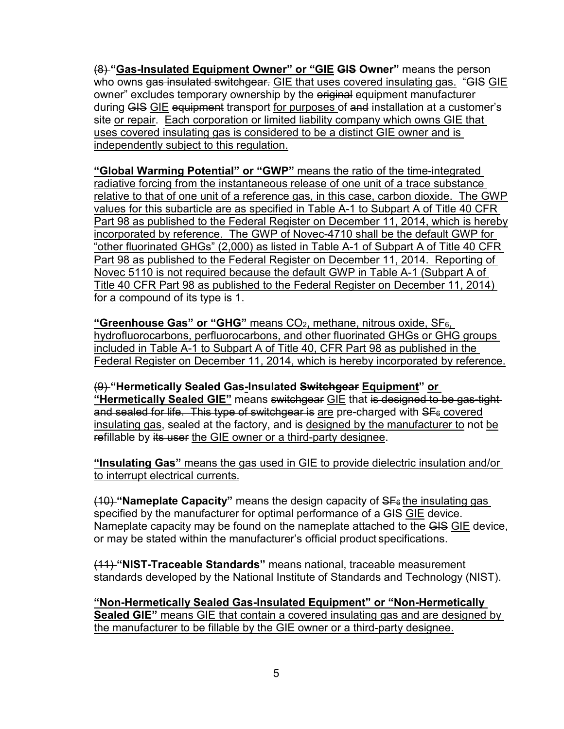(8) **"Gas-Insulated Equipment Owner" or "GIE GIS Owner"** means the person who owns <del>gas insulated switchgear.</del> <u>GIE that uses covered insulating gas.</u> "<del>GIS</del> <u>GIE</u> owner" excludes temporary ownership by the <del>original</del> equipment manufacturer during <del>GIS</del> <u>GIE</u> e<del>quipment</del> transport <u>for purposes of a<del>nd</del> installation at a customer's</u> site or repair. Each corporation or limited liability company which owns GIE that uses covered insulating gas is considered to be a distinct GIE owner and is independently subject to this regulation.

 **"Global Warming Potential" or "GWP"** means the ratio of the time-integrated values for this subarticle are as specified in Table A-1 to Subpart A of Title 40 CFR Part 98 as published to the Federal Register on December 11, 2014, which is hereby incorporated by reference. The GWP of Novec-4710 shall be the default GWP for "other fluorinated GHGs" (2,000) as listed in Table A-1 of Subpart A of Title 40 CFR Novec 5110 is not required because the default GWP in Table A-1 (Subpart A of Title 40 CFR Part 98 as published to the Federal Register on December 11, 2014) radiative forcing from the instantaneous release of one unit of a trace substance relative to that of one unit of a reference gas, in this case, carbon dioxide. The GWP Part 98 as published to the Federal Register on December 11, 2014. Reporting of for a compound of its type is 1.

 hydrofluorocarbons, perfluorocarbons, and other fluorinated GHGs or GHG groups Federal Register on December 11, 2014, which is hereby incorporated by reference. **"Greenhouse Gas" or "GHG"** means CO2, methane, nitrous oxide, SF6, included in Table A-1 to Subpart A of Title 40, CFR Part 98 as published in the

 **"Hermetically Sealed GIE"** means switchgear GIE that is designed to be gas-tight and sealed for life. This type of switchgear is <u>are</u> pre-charged with SF<sub>6</sub> covered insulating gas, sealed at the factory, and <del>is</del> <u>designed by the manufacturer to</u> not <u>be</u> <del>re</del>fillable by <del>its user</del> <u>the GIE owner or a third-party designee</u>. (9) **"Hermetically Sealed Gas-Insulated Switchgear Equipment" or** 

**"Insulating Gas"** means the gas used in GIE to provide dielectric insulation and/or to interrupt electrical currents.

<del>(10) </del>"**Nameplate Capacity**" means the design capacity of SF<sub>6</sub> <u>the insulating gas\_</u> specified by the manufacturer for optimal performance of a <del>GIS</del> <u>GIE</u> device. Nameplate capacity may be found on the nameplate attached to the <del>GIS</del> <u>GIE</u> device, or may be stated within the manufacturer's official product specifications.

 standards developed by the National Institute of Standards and Technology (NIST). (11) **"NIST-Traceable Standards"** means national, traceable measurement

the manufacturer to be fillable by the GIE owner or a third-party designee.<br>5 **"Non-Hermetically Sealed Gas-Insulated Equipment" or "Non-Hermetically Sealed GIE"** means GIE that contain a covered insulating gas and are designed by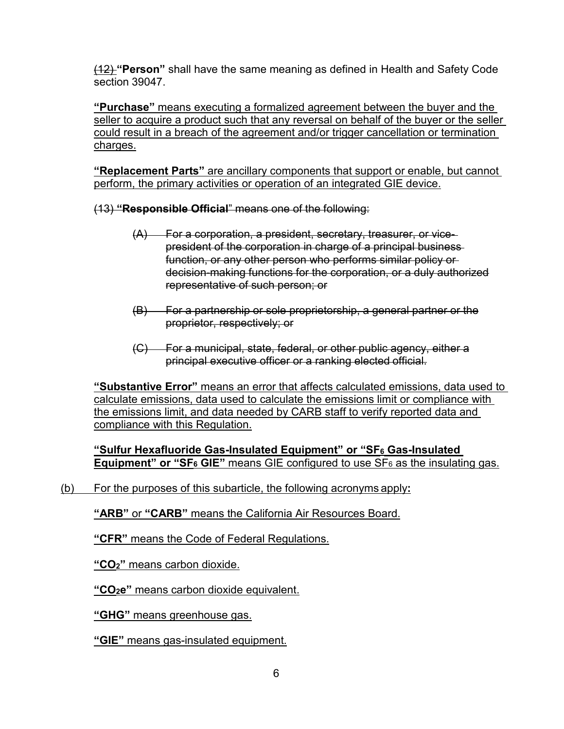section 39047. (12) **"Person"** shall have the same meaning as defined in Health and Safety Code

 **"Purchase"** means executing a formalized agreement between the buyer and the seller to acquire a product such that any reversal on behalf of the buyer or the seller could result in a breach of the agreement and/or trigger cancellation or termination charges.

**"Replacement Parts"** are ancillary components that support or enable, but cannot perform, the primary activities or operation of an integrated GIE device.

(13) **"Responsible Official**" means one of the following:

- decision-making functions for the corporation, or a duly authorized representative of such person; or (A) For a corporation, a president, secretary, treasurer, or vicepresident of the corporation in charge of a principal business function, or any other person who performs similar policy or
- proprietor, respectively; or (B) For a partnership or sole proprietorship, a general partner or the
- (C) For a municipal, state, federal, or other public agency, either a principal executive officer or a ranking elected official.

 **"Substantive Error"** means an error that affects calculated emissions, data used to calculate emissions, data used to calculate the emissions limit or compliance with the emissions limit, and data needed by CARB staff to verify reported data and compliance with this Regulation.

**"Sulfur Hexafluoride Gas-Insulated Equipment" or "SF6 Gas-Insulated Equipment" or "SF<sub>6</sub> GIE"** means GIE configured to use SF<sub>6</sub> as the insulating gas.

#### (b) For the purposes of this subarticle, the following acronyms apply**:**

**"ARB"** or **"CARB"** means the California Air Resources Board.

**"CFR"** means the Code of Federal Regulations.

**"CO2"** means carbon dioxide.

**"CO2e"** means carbon dioxide equivalent.

**"GHG"** means greenhouse gas.

**"GIE"** means gas-insulated equipment.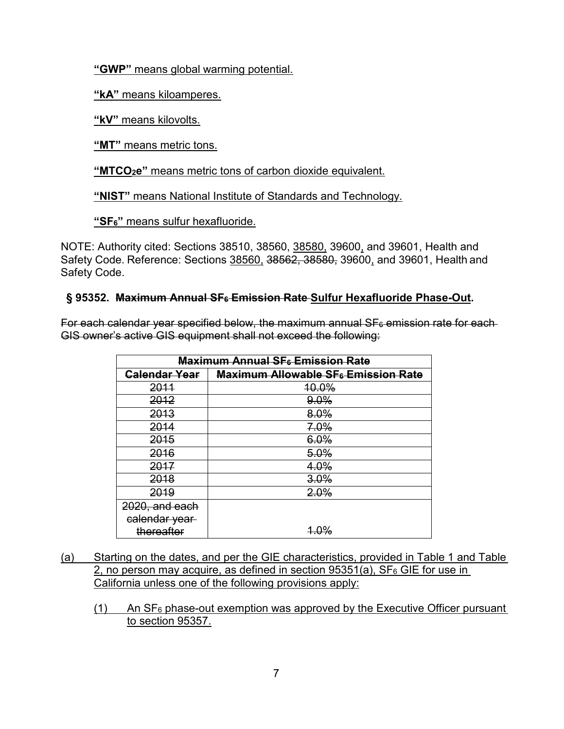**"GWP"** means global warming potential.

**"kA"** means kiloamperes.

**"kV"** means kilovolts.

**"MT"** means metric tons.

**"MTCO2e"** means metric tons of carbon dioxide equivalent.

**"NIST"** means National Institute of Standards and Technology.

**"SF6"** means sulfur hexafluoride.

NOTE: Authority cited: Sections 38510, 38560, <u>38580,</u> 39600<u>,</u> and 39601, Health and Safety Code. Reference: Sections <u>38560,</u> 3<del>8562, 38580,</del> 39600, and 39601, Health and Safety Code.

## **§ 95352. Maximum Annual SF6 Emission Rate Sulfur Hexafluoride Phase-Out.**

 GIS owner's active GIS equipment shall not exceed the following: For each calendar year specified below, the maximum annual  $SF<sub>6</sub>$  emission rate for each

| <b>Maximum Annual SF</b> Emission Rate |                                                       |  |
|----------------------------------------|-------------------------------------------------------|--|
| Calendar Year                          | <b>Maximum Allowable SF<sub>6</sub></b> Emission Rate |  |
| 2011                                   | 10.0%                                                 |  |
| 2012                                   | 9.0%                                                  |  |
| 2013                                   | 8.0%                                                  |  |
| 2014                                   | 7.0%                                                  |  |
| 2015                                   | 6.0%                                                  |  |
| 2016                                   | 5.0%                                                  |  |
| 2017                                   | 4.0%                                                  |  |
| 2018                                   | 3.0%                                                  |  |
| 2019                                   | 2.0%                                                  |  |
| 2020, and each                         |                                                       |  |
| calendar year                          |                                                       |  |
| thereafter                             | <u> 4.0%</u>                                          |  |

- California unless one of the following provisions apply: (a) Starting on the dates, and per the GIE characteristics, provided in Table 1 and Table 2, no person may acquire, as defined in section  $95351(a)$ , SF<sub>6</sub> GIE for use in
	- $(1)$  An SF<sub>6</sub> phase-out exemption was approved by the Executive Officer pursuant to section 95357.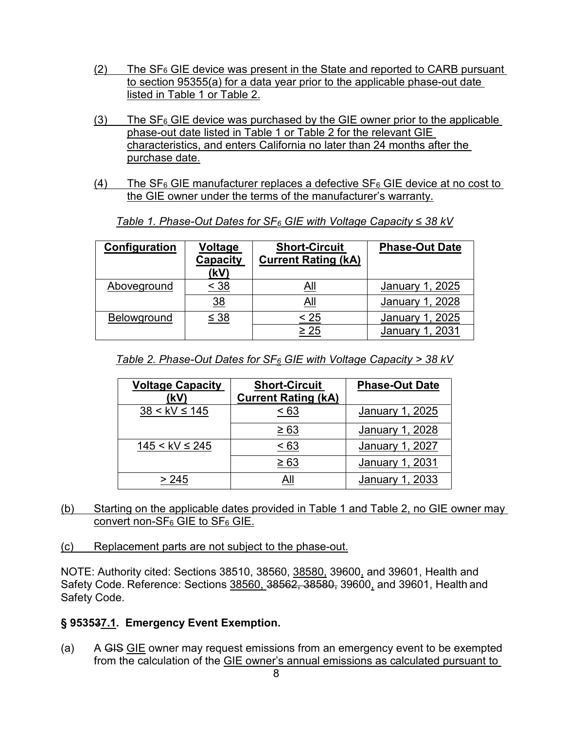- $(2)$  The SF<sub>6</sub> GIE device was present in the State and reported to CARB pursuant to section 95355(a) for a data year prior to the applicable phase-out date listed in Table 1 or Table 2.
- $(3)$  The SF<sub>6</sub> GIE device was purchased by the GIE owner prior to the applicable phase-out date listed in Table 1 or Table 2 for the relevant GIE characteristics, and enters California no later than 24 months after the purchase date.
- the GIE owner under the terms of the manufacturer's warranty. (4) The  $SF_6$  GIE manufacturer replaces a defective  $SF_6$  GIE device at no cost to

| Configuration | Voltage<br>Capacity<br>(kV) | <b>Short-Circuit</b><br><b>Current Rating (kA)</b> | <b>Phase-Out Date</b>  |
|---------------|-----------------------------|----------------------------------------------------|------------------------|
| Aboveground   | $\leq 38$                   | All                                                | January 1, 2025        |
|               | <u>38</u>                   | All                                                | January 1, 2028        |
| Belowground   | $\leq$ 38                   | < 25                                               | January 1, 2025        |
|               |                             | $\geq 25$                                          | <b>January 1, 2031</b> |

*Table 1. Phase-Out Dates for SF6 GIE with Voltage Capacity* ≤ *38 kV* 

| Table 2. Phase-Out Dates for $SF_6$ GIE with Voltage Capacity > 38 kV |
|-----------------------------------------------------------------------|
|-----------------------------------------------------------------------|

| <b>Voltage Capacity</b> | <b>Short-Circuit</b>       | <b>Phase-Out Date</b>  |
|-------------------------|----------------------------|------------------------|
| (kV)                    | <b>Current Rating (kA)</b> |                        |
| $38 < kV \le 145$       | < 63                       | January 1, 2025        |
|                         | $\geq 63$                  | January 1, 2028        |
| $145 <$ kV $\leq$ 245   | < 63                       | January 1, 2027        |
|                         | $\geq 63$                  | <b>January 1, 2031</b> |
| > 245                   |                            | January 1, 2033        |

- (b) Starting on the applicable dates provided in Table 1 and Table 2, no GIE owner may <u>convert non-SF6 GIE to SF6 GIE.</u>
- (c) Replacement parts are not subject to the phase-out.

 NOTE: Authority cited: Sections 38510, 38560, 38580, 39600, and 39601, Health and Safety Code. Reference: Sections <u>38560, 38562, 38580,</u> 39600<u>,</u> and 39601, Health and Safety Code.

#### **§ 953537.1. Emergency Event Exemption.**

 $(a)$ A GIS GIE owner may request emissions from an emergency event to be exempted from the calculation of the GIE owner's annual emissions as calculated pursuant to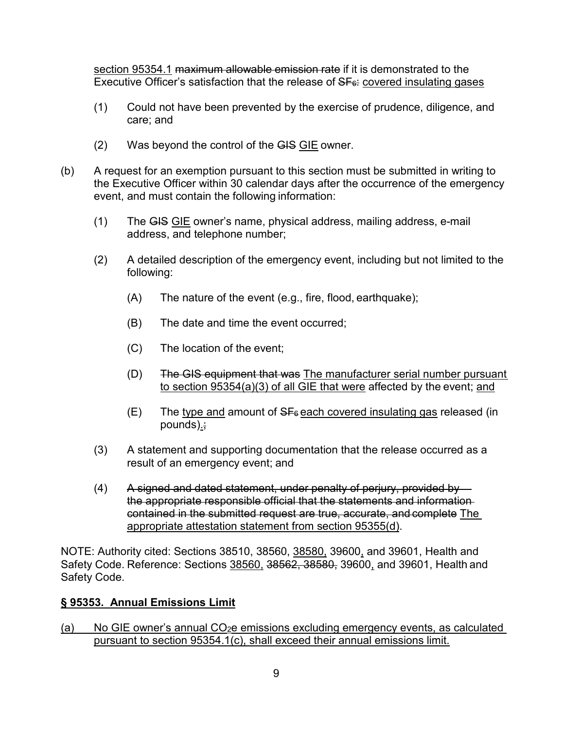section 95354.1 maximum allowable emission rate if it is demonstrated to the Executive Officer's satisfaction that the release of SF<sub>6</sub>: covered insulating gases

- care; and (1) Could not have been prevented by the exercise of prudence, diligence, and
- $(2)$  Was beyond the control of the  $GIS$   $GIE$  owner.
- the Executive Officer within 30 calendar days after the occurrence of the emergency (b) A request for an exemption pursuant to this section must be submitted in writing to event, and must contain the following information:
	- (1) The <del>GIS</del> <u>GIE</u> owner's name, physical address, mailing address, e-mail address, and telephone number;
	- (2) A detailed description of the emergency event, including but not limited to the following:
		- (A) The nature of the event (e.g., fire, flood, earthquake);
		- (B) The date and time the event occurred;
		- (C) The location of the event;
		- to section 95354(a)(3) of all GIE that were affected by the event; and (D) The GIS equipment that was The manufacturer serial number pursuant
		- $(E)$  The type and amount of  $SF<sub>6</sub>$  each covered insulating gas released (in pounds).;
	- result of an emergency event; and (3) A statement and supporting documentation that the release occurred as a
	- $(4)$  contained in the submitted request are true, accurate, and complete The appropriate attestation statement from section 95355(d). A signed and dated statement, under penalty of perjury, provided by the appropriate responsible official that the statements and information

 NOTE: Authority cited: Sections 38510, 38560, 38580, 39600, and 39601, Health and Safety Code. Reference: Sections <u>38560,</u> 3<del>8562, 38580,</del> 39600, and 39601, Health and Safety Code.

# **§ 95353. Annual Emissions Limit**

(a) No GIE owner's annual CO2e emissions excluding emergency events, as calculated pursuant to section 95354.1(c), shall exceed their annual emissions limit.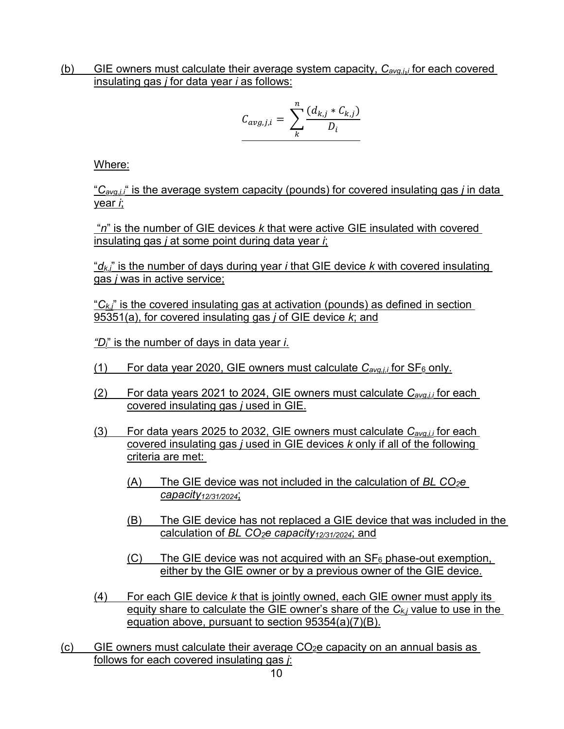insulating gas *j* for data year *i* as follows: (b) GIE owners must calculate their average system capacity, *Cavg,j*,*i* for each covered

$$
C_{avg,j,i} = \sum_{k}^{n} \frac{(d_{k,j} * C_{k,j})}{D_i}
$$

Where:

"*Cavg,j,i*" is the average system capacity (pounds) for covered insulating gas *j* in data year *i*;

 "*n*" is the number of GIE devices *k* that were active GIE insulated with covered insulating gas *j* at some point during data year *i*;

 "*dk,j*" is the number of days during year *i* that GIE device *k* with covered insulating gas *j* was in active service;

"*Ck,j*" is the covered insulating gas at activation (pounds) as defined in section 95351(a), for covered insulating gas *j* of GIE device *k*; and

*"Di*" is the number of days in data year *i*.

- <u>(1) For data year 2020, GIE owners must calculate  $C_{\textit{avg},i,i}$  for SF<sub>6</sub> only.</u>
- (2) For data years 2021 to 2024, GIE owners must calculate *Cavg,j,i* for each covered insulating gas *j* used in GIE.
- covered insulating gas *j* used in GIE devices *k* only if all of the following (3) For data years 2025 to 2032, GIE owners must calculate *Cavg,j,i* for each criteria are met:
	- (A) The GIE device was not included in the calculation of *BL CO*<sub>2</sub>e *capacity12/31/2024*;
	- (B) The GIE device has not replaced a GIE device that was included in the calculation of *BL CO2e capacity12/31/2024*; and
	- $(C)$  The GIE device was not acquired with an  $SF<sub>6</sub>$  phase-out exemption, either by the GIE owner or by a previous owner of the GIE device.
- (4) For each GIE device *k* that is jointly owned, each GIE owner must apply its equity share to calculate the GIE owner's share of the *Ck,j* value to use in the equation above, pursuant to section 95354(a)(7)(B).
- <u>(c) GIE owners must calculate their average CO<sub>2</sub>e capacity on an annual basis as</u> follows for each covered insulating gas *j*: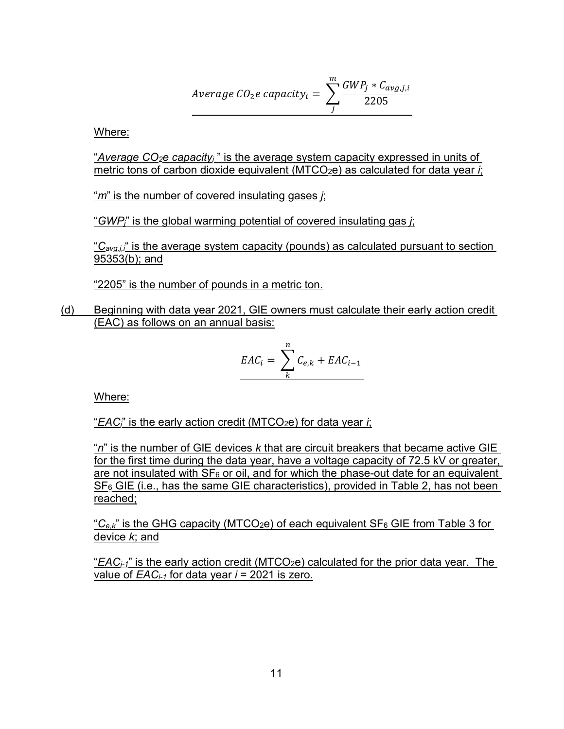$$
Average\ CO_2e\ capacity_i = \sum_{j}^{m} \frac{GWP_j * C_{avg,j,i}}{2205}
$$

Where:

 metric tons of carbon dioxide equivalent (MTCO2e) as calculated for data year *i*; "*Average CO2e capacityi* " is the average system capacity expressed in units of

"*m*" is the number of covered insulating gases *j*;

"*GWPj*" is the global warming potential of covered insulating gas *j*;

"*Cavg,j,i*" is the average system capacity (pounds) as calculated pursuant to section 95353(b); and

"2205" is the number of pounds in a metric ton.

(d) Beginning with data year 2021, GIE owners must calculate their early action credit (EAC) as follows on an annual basis:

$$
EAC_i = \sum_{k}^{n} C_{e,k} + EAC_{i-1}
$$

Where:

"*EACi*" is the early action credit (MTCO2e) for data year *i*;

 "*n*" is the number of GIE devices *k* that are circuit breakers that became active GIE for the first time during the data year, have a voltage capacity of 72.5 kV or greater, are not insulated with  $SF_6$  or oil, and for which the phase-out date for an equivalent  $SF<sub>6</sub> GIE$  (i.e., has the same GIE characteristics), provided in Table 2, has not been reached;

 "*Ce,k*" is the GHG capacity (MTCO2e) of each equivalent SF6 GIE from Table 3 for device *k*; and

 "*EACi-1*" is the early action credit (MTCO2e) calculated for the prior data year. The value of *EACi-1* for data year *i* = 2021 is zero.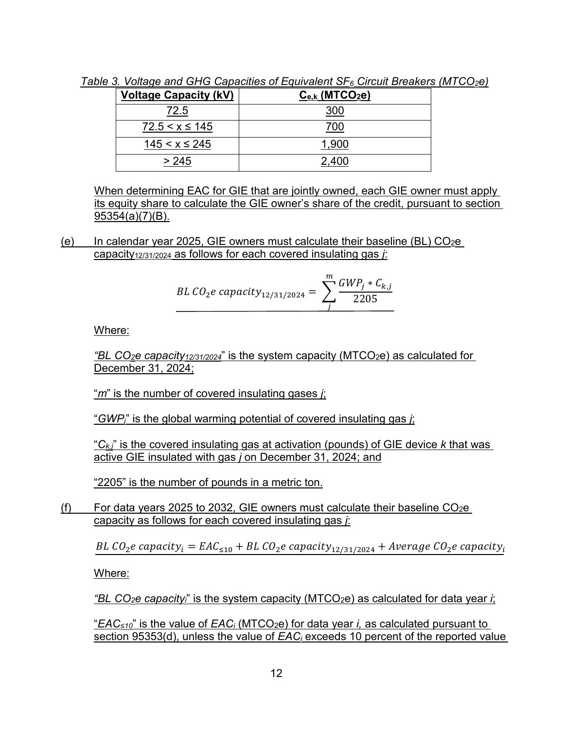| <b>Voltage Capacity (kV)</b> | $C_{e,k}$ (MTCO <sub>2</sub> e) |
|------------------------------|---------------------------------|
| 72.5                         | 300                             |
| $72.5 < x \le 145$           | 700                             |
| $145 < x \leq 245$           | 1,900                           |
| > 245                        | 2.400                           |

 *Table 3. Voltage and GHG Capacities of Equivalent SF6 Circuit Breakers (MTCO2e)* 

 When determining EAC for GIE that are jointly owned, each GIE owner must apply its equity share to calculate the GIE owner's share of the credit, pursuant to section 95354(a)(7)(B).

(e) In calendar year 2025, GIE owners must calculate their baseline (BL)  $CO<sub>2</sub>e$ capacity12/31/2024 as follows for each covered insulating gas *j*:

BL CO<sub>2</sub>e capacity<sub>12/31/2024</sub> = 
$$
\sum_{j}^{m} \frac{GWP_j * C_{k,j}}{2205}
$$

Where:

*"BL CO<sub>2</sub>e capacity<sub>12/31/2024</sub>"* is the system capacity (MTCO<sub>2</sub>e) as calculated for December 31, 2024;

"*m*" is the number of covered insulating gases *j*;

"*GWPj*" is the global warming potential of covered insulating gas *j*;

"*Ck,j*" is the covered insulating gas at activation (pounds) of GIE device *k* that was active GIE insulated with gas *j* on December 31, 2024; and

"2205" is the number of pounds in a metric ton.

 capacity as follows for each covered insulating gas *j*: (f) For data years 2025 to 2032, GIE owners must calculate their baseline  $CO<sub>2</sub>e$ 

BL CO<sub>2</sub>e capacity<sub>i</sub> = EAC<sub>≤10</sub> + BL CO<sub>2</sub>e capacity<sub>12/31/2024</sub> + Average CO<sub>2</sub>e capacity<sub>i</sub>

Where:

*"BL CO2e capacityi*" is the system capacity (MTCO2e) as calculated for data year *i*;

"*EAC≤10*" is the value of *EACi* (MTCO2e) for data year *i,* as calculated pursuant to section 95353(d), unless the value of *EACi* exceeds 10 percent of the reported value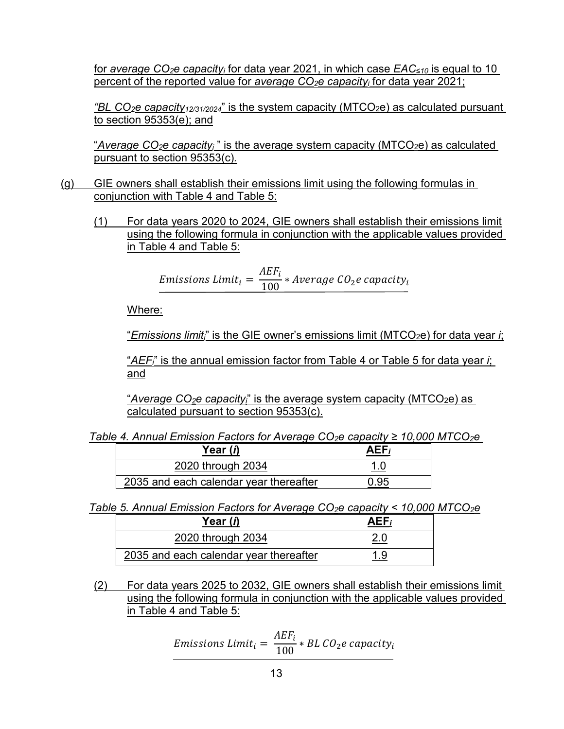for *average CO2e capacityi* for data year 2021, in which case *EAC≤10* is equal to 10 percent of the reported value for *average CO2e capacityi* for data year 2021;

*"BL CO<sub>2</sub>e capacity<sub>12/31/2024</sub>"* is the system capacity (MTCO<sub>2</sub>e) as calculated pursuant to section 95353(e); and

"*Average CO2e capacityi* " is the average system capacity (MTCO2e) as calculated pursuant to section 95353(c)*.* 

- (g) GIE owners shall establish their emissions limit using the following formulas in conjunction with Table 4 and Table 5:
	- (1) For data years 2020 to 2024, GIE owners shall establish their emissions limit using the following formula in conjunction with the applicable values provided in Table 4 and Table 5:

Emissions Limit<sub>i</sub> =  $\frac{AEF_i}{100}$  \* Average CO<sub>2</sub>e capacity<sub>i</sub>

Where:

"*Emissions limiti*" is the GIE owner's emissions limit (MTCO2e) for data year *i*;

 "*AEFi*" is the annual emission factor from Table 4 or Table 5 for data year *i*; and

"*Average CO<sub>2</sub>e capacity*<sub>i</sub>" is the average system capacity (MTCO<sub>2</sub>e) as calculated pursuant to section 95353(c).

| Table 4. Annual Emission Factors for Average CO <sub>2</sub> e capacity $\geq$ 10,000 MTCO <sub>2</sub> e |
|-----------------------------------------------------------------------------------------------------------|
|-----------------------------------------------------------------------------------------------------------|

| Year ( <i>i</i> )                      | AEF; |
|----------------------------------------|------|
| 2020 through 2034                      |      |
| 2035 and each calendar year thereafter |      |

*Table 5. Annual Emission Factors for Average CO2e capacity < 10,000 MTCO2e* 

| $:$ 4. Annual Emission Factors for Average CO $_2$ e capacity ≥ 10,000 I  |            |  |  |
|---------------------------------------------------------------------------|------------|--|--|
| Year (i)                                                                  | $AEF_i$    |  |  |
| 2020 through 2034                                                         | <u>1.0</u> |  |  |
| 2035 and each calendar year thereafter                                    | 0.95       |  |  |
| <u>5. Annual Emission Factors for Average CO2e capacity &lt; 10,000 I</u> |            |  |  |
| Year ( <i>i</i> )                                                         | $AEF_i$    |  |  |
| 2020 through 2034                                                         | 2.0        |  |  |
| 2035 and each calendar year thereafter                                    | 1.9        |  |  |
| For data years 2025 to 2032, GIE owners shall establish their en          |            |  |  |

(2) For data years 2025 to 2032, GIE owners shall establish their emissions limit using the following formula in conjunction with the applicable values provided in Table 4 and Table 5:

*Emissions Limit<sub>i</sub>* = 
$$
\frac{AEF_i}{100} * BL CO_2e capacity_i
$$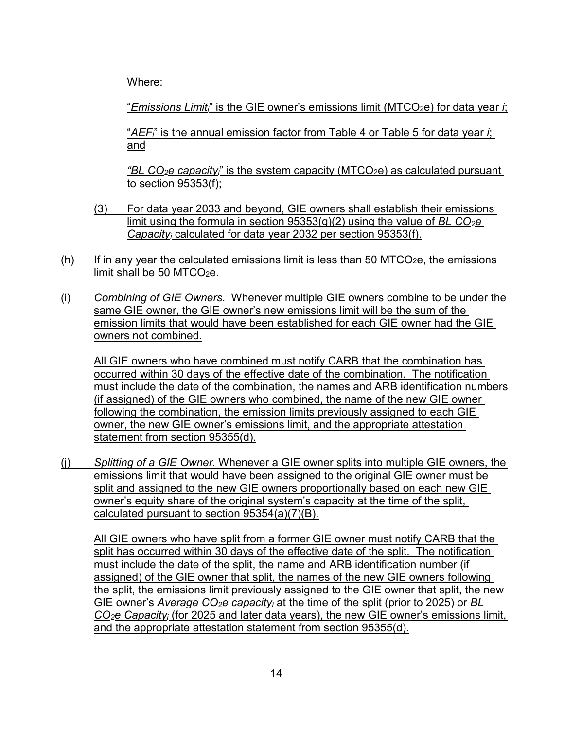Where:

"*Emissions Limiti*" is the GIE owner's emissions limit (MTCO2e) for data year *i*;

 "*AEFi*" is the annual emission factor from Table 4 or Table 5 for data year *i*; and

 *"BL CO2e capacityi*" is the system capacity (MTCO2e) as calculated pursuant to section  $95353(f)$ ;

- $(3)$  For data year 2033 and beyond, GIE owners shall establish their emissions limit using the formula in section 95353(g)(2) using the value of *BL CO2e Capacityi* calculated for data year 2032 per section 95353(f).
- (h) If in any year the calculated emissions limit is less than 50 MTCO<sub>2</sub>e, the emissions limit shall be 50 MTCO<sub>2</sub>e.
- (i) *Combining of GIE Owners.* Whenever multiple GIE owners combine to be under the same GIE owner, the GIE owner's new emissions limit will be the sum of the emission limits that would have been established for each GIE owner had the GIE owners not combined.

 occurred within 30 days of the effective date of the combination. The notification All GIE owners who have combined must notify CARB that the combination has must include the date of the combination, the names and ARB identification numbers (if assigned) of the GIE owners who combined, the name of the new GIE owner following the combination, the emission limits previously assigned to each GIE owner, the new GIE owner's emissions limit, and the appropriate attestation statement from section 95355(d).

 (j) *Splitting of a GIE Owner.* Whenever a GIE owner splits into multiple GIE owners, the owner's equity share of the original system's capacity at the time of the split, emissions limit that would have been assigned to the original GIE owner must be split and assigned to the new GIE owners proportionally based on each new GIE calculated pursuant to section 95354(a)(7)(B).

 split has occurred within 30 days of the effective date of the split. The notification assigned) of the GIE owner that split, the names of the new GIE owners following the split, the emissions limit previously assigned to the GIE owner that split, the new All GIE owners who have split from a former GIE owner must notify CARB that the must include the date of the split, the name and ARB identification number (if GIE owner's *Average CO<sub>2</sub>e capacity<sub>i</sub>* at the time of the split (prior to 2025) or *BL CO2e Capacityi* (for 2025 and later data years), the new GIE owner's emissions limit, and the appropriate attestation statement from section 95355(d).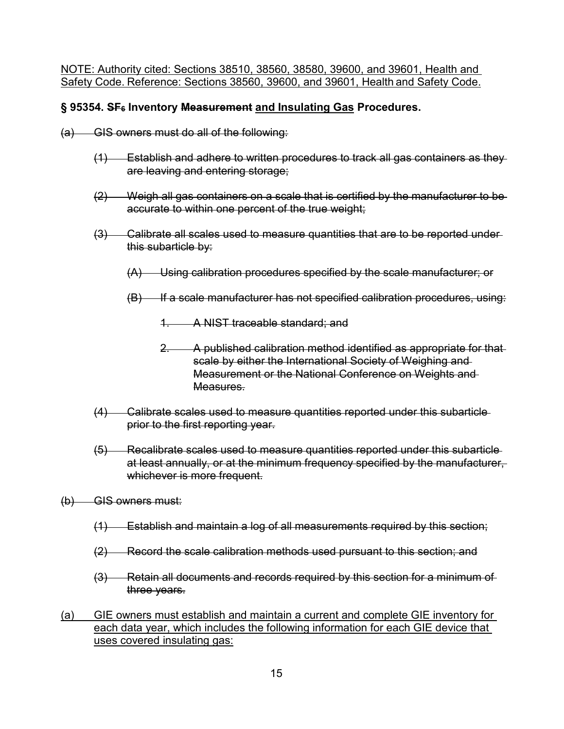Safety Code. Reference: Sections 38560, 39600, and 39601, Health and Safety Code. NOTE: Authority cited: Sections 38510, 38560, 38580, 39600, and 39601, Health and

### **§ 95354. SF6 Inventory Measurement and Insulating Gas Procedures.**

- $(a)$  GIS owners must do all of the following:
	- (1) Establish and adhere to written procedures to track all gas containers as they are leaving and entering storage;
	- (2) Weigh all gas containers on a scale that is certified by the manufacturer to be accurate to within one percent of the true weight;
	- (3) Calibrate all scales used to measure quantities that are to be reported under this subarticle by:
		- (A) Using calibration procedures specified by the scale manufacturer; or
		- (B) If a scale manufacturer has not specified calibration procedures, using:
			- 1. A NIST traceable standard; and
			- 2. A published calibration method identified as appropriate for that scale by either the International Society of Weighing and Measurement or the National Conference on Weights and Measures.
	- (4) Calibrate scales used to measure quantities reported under this subarticle prior to the first reporting year.
	- (5) Recalibrate scales used to measure quantities reported under this subarticle at least annually, or at the minimum frequency specified by the manufacturer, whichever is more frequent.
- (b) GIS owners must:
	- (1) Establish and maintain a log of all measurements required by this section;
	- (2) Record the scale calibration methods used pursuant to this section; and
	- (3) Retain all documents and records required by this section for a minimum of three years.
- (a) GIE owners must establish and maintain a current and complete GIE inventory for each data year, which includes the following information for each GIE device that uses covered insulating gas: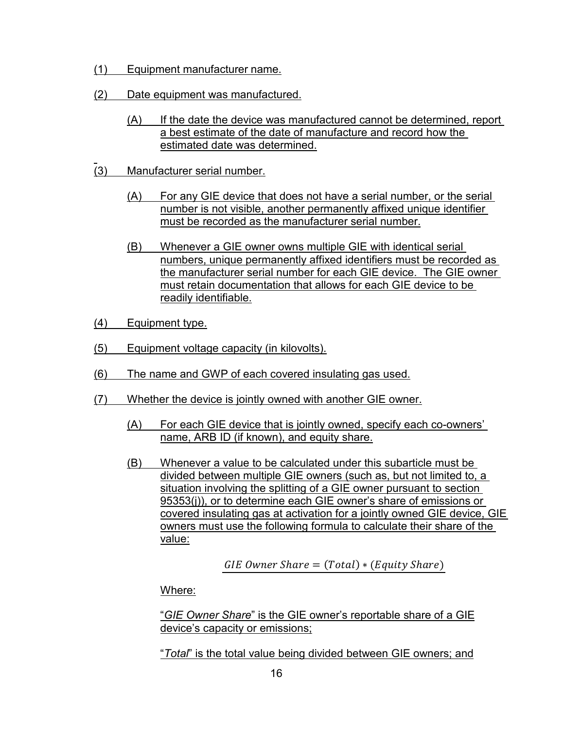- (1) Equipment manufacturer name.
- (2) Date equipment was manufactured.
	- (A) If the date the device was manufactured cannot be determined, report a best estimate of the date of manufacture and record how the estimated date was determined.
- $\overline{a}$ (3) Manufacturer serial number.
	- (A) For any GIE device that does not have a serial number, or the serial number is not visible, another permanently affixed unique identifier must be recorded as the manufacturer serial number.
	- the manufacturer serial number for each GIE device. The GIE owner must retain documentation that allows for each GIE device to be (B) Whenever a GIE owner owns multiple GIE with identical serial numbers, unique permanently affixed identifiers must be recorded as readily identifiable.
- (4) Equipment type.
- (5) Equipment voltage capacity (in kilovolts).
- (6) The name and GWP of each covered insulating gas used.
- (7) Whether the device is jointly owned with another GIE owner.
	- (A) For each GIE device that is jointly owned, specify each co-owners' name, ARB ID (if known), and equity share.
	- 95353(j)), or to determine each GIE owner's share of emissions or (B) Whenever a value to be calculated under this subarticle must be divided between multiple GIE owners (such as, but not limited to, a situation involving the splitting of a GIE owner pursuant to section covered insulating gas at activation for a jointly owned GIE device, GIE owners must use the following formula to calculate their share of the value:

 $GIE$  Owner Share =  $(Total) * (Equity\,Share)$ 

Where:

 "*GIE Owner Share*" is the GIE owner's reportable share of a GIE device's capacity or emissions;

"*Total*" is the total value being divided between GIE owners; and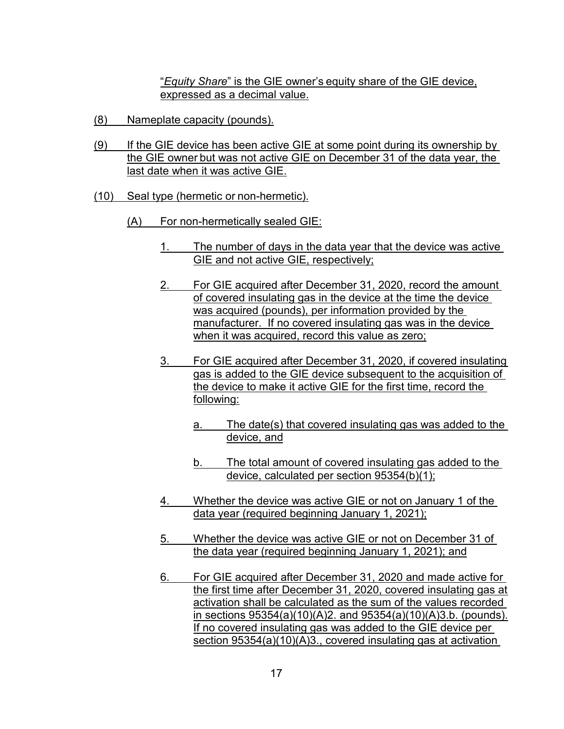"*Equity Share*" is the GIE owner's equity share of the GIE device, expressed as a decimal value.

- (8) Nameplate capacity (pounds).
- the GIE owner but was not active GIE on December 31 of the data year, the (9) If the GIE device has been active GIE at some point during its ownership by last date when it was active GIE.
- (10) Seal type (hermetic or non-hermetic).
	- (A) For non-hermetically sealed GIE:
		- 1. The number of days in the data year that the device was active GIE and not active GIE, respectively;
		- 2. For GIE acquired after December 31, 2020, record the amount of covered insulating gas in the device at the time the device was acquired (pounds), per information provided by the manufacturer. If no covered insulating gas was in the device when it was acquired, record this value as zero;
		- 3. For GIE acquired after December 31, 2020, if covered insulating gas is added to the GIE device subsequent to the acquisition of the device to make it active GIE for the first time, record the following:
			- a. The date(s) that covered insulating gas was added to the device, and
			- b. The total amount of covered insulating gas added to the device, calculated per section 95354(b)(1);
		- 4. Whether the device was active GIE or not on January 1 of the data year (required beginning January 1, 2021);
		- 5. Whether the device was active GIE or not on December 31 of the data year (required beginning January 1, 2021); and
		- 6. For GIE acquired after December 31, 2020 and made active for the first time after December 31, 2020, covered insulating gas at in sections  $95354(a)(10)(A)2$ . and  $95354(a)(10)(A)3.b.$  (pounds). activation shall be calculated as the sum of the values recorded If no covered insulating gas was added to the GIE device per section 95354(a)(10)(A)3., covered insulating gas at activation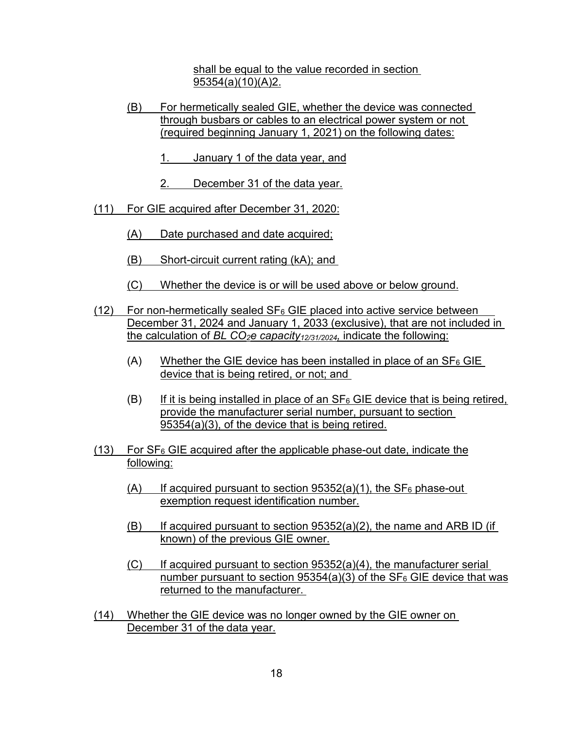shall be equal to the value recorded in section 95354(a)(10)(A)2.

- (B) For hermetically sealed GIE, whether the device was connected through busbars or cables to an electrical power system or not (required beginning January 1, 2021) on the following dates:
	- 1. January 1 of the data year, and
	- 2. December 31 of the data year.
- (11) For GIE acquired after December 31, 2020:
	- (A) Date purchased and date acquired;
	- (B) Short-circuit current rating (kA); and
	- (C) Whether the device is or will be used above or below ground.
- (12) For non-hermetically sealed SF<sub>6</sub> GIE placed into active service between December 31, 2024 and January 1, 2033 (exclusive), that are not included in the calculation of *BL CO<sub>2</sub>e capacity<sub>12/31/2024</sub>*, indicate the following:
	- device that is being retired, or not; and (A) Whether the GIE device has been installed in place of an  $SF_6$  GIE
	- $(B)$  If it is being installed in place of an SF<sub>6</sub> GIE device that is being retired, provide the manufacturer serial number, pursuant to section 95354(a)(3), of the device that is being retired.
- $(13)$  For SF<sub>6</sub> GIE acquired after the applicable phase-out date, indicate the following:
	- $(A)$  If acquired pursuant to section 95352(a)(1), the SF<sub>6</sub> phase-out exemption request identification number.
	- $(B)$  If acquired pursuant to section 95352(a)(2), the name and ARB ID (if known) of the previous GIE owner.
	- <u>number pursuant to section 95354(a)(3) of the SF<sub>6</sub> GIE device that was</u>  $(C)$  If acquired pursuant to section 95352(a)(4), the manufacturer serial returned to the manufacturer.
- December 31 of the data year. (14) Whether the GIE device was no longer owned by the GIE owner on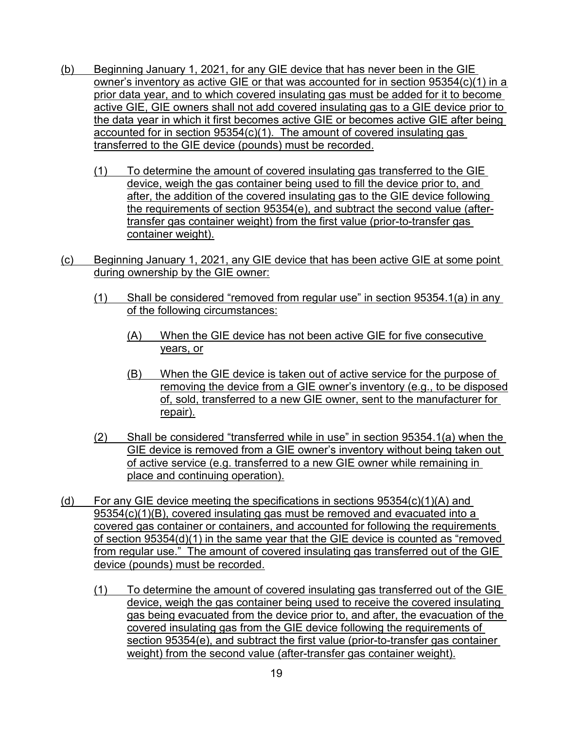- prior data year, and to which covered insulating gas must be added for it to become accounted for in section 95354(c)(1). The amount of covered insulating gas transferred to the GIE device (pounds) must be recorded. (b) Beginning January 1, 2021, for any GIE device that has never been in the GIE owner's inventory as active GIE or that was accounted for in section 95354(c)(1) in a active GIE, GIE owners shall not add covered insulating gas to a GIE device prior to the data year in which it first becomes active GIE or becomes active GIE after being
	- (1) To determine the amount of covered insulating gas transferred to the GIE device, weigh the gas container being used to fill the device prior to, and after, the addition of the covered insulating gas to the GIE device following the requirements of section 95354(e), and subtract the second value (aftertransfer gas container weight) from the first value (prior-to-transfer gas container weight).
- (c) Beginning January 1, 2021, any GIE device that has been active GIE at some point during ownership by the GIE owner:
	- (1) Shall be considered "removed from regular use" in section 95354.1(a) in any of the following circumstances:
		- (A) When the GIE device has not been active GIE for five consecutive years, or
		- of, sold, transferred to a new GIE owner, sent to the manufacturer for (B) When the GIE device is taken out of active service for the purpose of removing the device from a GIE owner's inventory (e.g., to be disposed repair).
	- (2) Shall be considered "transferred while in use" in section 95354.1(a) when the GIE device is removed from a GIE owner's inventory without being taken out of active service (e.g. transferred to a new GIE owner while remaining in place and continuing operation).
- from regular use." The amount of covered insulating gas transferred out of the GIE (d) For any GIE device meeting the specifications in sections  $95354(c)(1)(A)$  and 95354(c)(1)(B), covered insulating gas must be removed and evacuated into a covered gas container or containers, and accounted for following the requirements of section 95354(d)(1) in the same year that the GIE device is counted as "removed device (pounds) must be recorded.
	- (1) To determine the amount of covered insulating gas transferred out of the GIE device, weigh the gas container being used to receive the covered insulating gas being evacuated from the device prior to, and after, the evacuation of the covered insulating gas from the GIE device following the requirements of section 95354(e), and subtract the first value (prior-to-transfer gas container weight) from the second value (after-transfer gas container weight).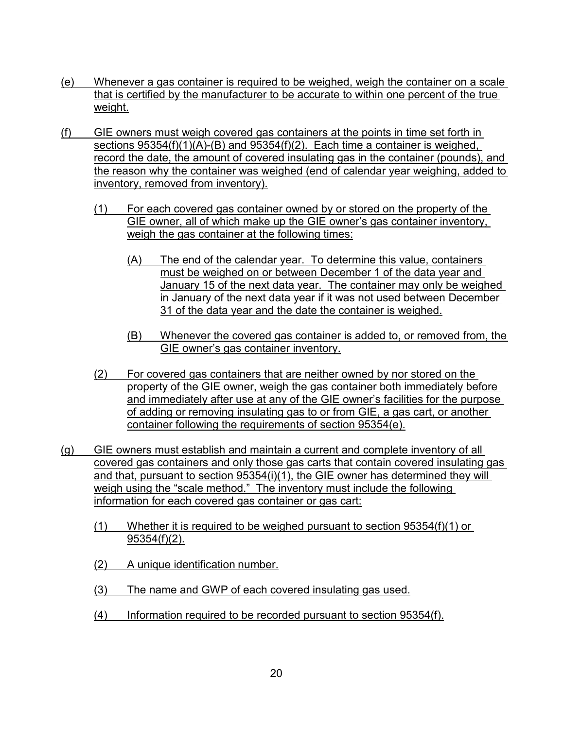- (e) Whenever a gas container is required to be weighed, weigh the container on a scale that is certified by the manufacturer to be accurate to within one percent of the true weight.
- sections 95354(f)(1)(A)-(B) and 95354(f)(2). Each time a container is weighed, inventory, removed from inventory). (f) GIE owners must weigh covered gas containers at the points in time set forth in record the date, the amount of covered insulating gas in the container (pounds), and the reason why the container was weighed (end of calendar year weighing, added to
	- $(i)$  For each covered gas container owned by or stored on the property of the GIE owner, all of which make up the GIE owner's gas container inventory, weigh the gas container at the following times:
		- (A) The end of the calendar year. To determine this value, containers must be weighed on or between December 1 of the data year and January 15 of the next data year. The container may only be weighed in January of the next data year if it was not used between December 31 of the data year and the date the container is weighed.
		- (B) Whenever the covered gas container is added to, or removed from, the GIE owner's gas container inventory.
	- of adding or removing insulating gas to or from GIE, a gas cart, or another (2) For covered gas containers that are neither owned by nor stored on the property of the GIE owner, weigh the gas container both immediately before and immediately after use at any of the GIE owner's facilities for the purpose container following the requirements of section 95354(e).
- and that, pursuant to section 95354(i)(1), the GIE owner has determined they will weigh using the "scale method." The inventory must include the following (g) GIE owners must establish and maintain a current and complete inventory of all covered gas containers and only those gas carts that contain covered insulating gas information for each covered gas container or gas cart:
	- (1) Whether it is required to be weighed pursuant to section 95354(f)(1) or 95354(f)(2).
	- (2) A unique identification number.
	- (3) The name and GWP of each covered insulating gas used.
	- (4) Information required to be recorded pursuant to section 95354(f).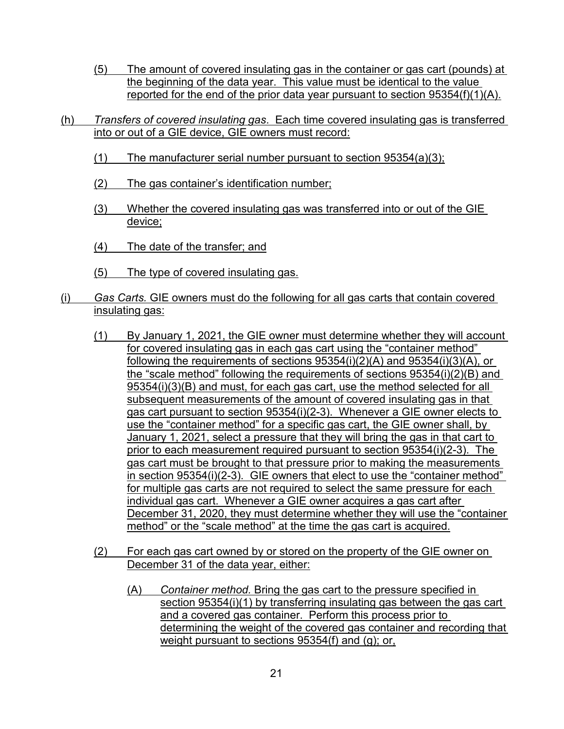- the beginning of the data year. This value must be identical to the value (5) The amount of covered insulating gas in the container or gas cart (pounds) at reported for the end of the prior data year pursuant to section 95354(f)(1)(A).
- into or out of a GIE device, GIE owners must record: (h) *Transfers of covered insulating gas*. Each time covered insulating gas is transferred
	- (1) The manufacturer serial number pursuant to section  $95354(a)(3)$ ;
	- (2) The gas container's identification number;
	- (3) Whether the covered insulating gas was transferred into or out of the GIE device;
	- (4) The date of the transfer; and
	- (5) The type of covered insulating gas.
- (i) *Gas Carts.* GIE owners must do the following for all gas carts that contain covered insulating gas:
	- following the requirements of sections 95354(i)(2)(A) and 95354(i)(3)(A), or gas cart pursuant to section 95354(i)(2-3). Whenever a GIE owner elects to prior to each measurement required pursuant to section 95354(i)(2-3). The in section 95354(i)(2-3). GIE owners that elect to use the "container method" individual gas cart. Whenever a GIE owner acquires a gas cart after (1) By January 1, 2021, the GIE owner must determine whether they will account for covered insulating gas in each gas cart using the "container method" the "scale method" following the requirements of sections 95354(i)(2)(B) and 95354(i)(3)(B) and must, for each gas cart, use the method selected for all subsequent measurements of the amount of covered insulating gas in that use the "container method" for a specific gas cart, the GIE owner shall, by January 1, 2021, select a pressure that they will bring the gas in that cart to gas cart must be brought to that pressure prior to making the measurements for multiple gas carts are not required to select the same pressure for each December 31, 2020, they must determine whether they will use the "container method" or the "scale method" at the time the gas cart is acquired.
	- (2) For each gas cart owned by or stored on the property of the GIE owner on December 31 of the data year, either:
		- and a covered gas container. Perform this process prior to weight pursuant to sections 95354(f) and (g); or, (A) *Container method.* Bring the gas cart to the pressure specified in section 95354(i)(1) by transferring insulating gas between the gas cart determining the weight of the covered gas container and recording that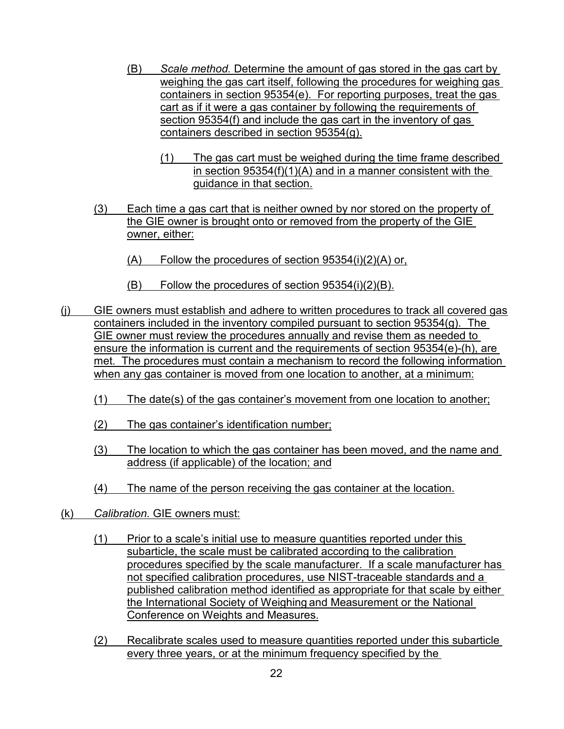- (B) *Scale method.* Determine the amount of gas stored in the gas cart by containers in section 95354(e). For reporting purposes, treat the gas weighing the gas cart itself, following the procedures for weighing gas cart as if it were a gas container by following the requirements of section 95354(f) and include the gas cart in the inventory of gas containers described in section 95354(g).
	- (1) The gas cart must be weighed during the time frame described in section 95354(f)(1)(A) and in a manner consistent with the guidance in that section.
- (3) Each time a gas cart that is neither owned by nor stored on the property of the GIE owner is brought onto or removed from the property of the GIE owner, either:
	- $(A)$  Follow the procedures of section 95354(i)(2)(A) or,
	- (B) Follow the procedures of section 95354(i)(2)(B).
- (j) GIE owners must establish and adhere to written procedures to track all covered gas containers included in the inventory compiled pursuant to section 95354(g). The GIE owner must review the procedures annually and revise them as needed to ensure the information is current and the requirements of section 95354(e)-(h), are met. The procedures must contain a mechanism to record the following information when any gas container is moved from one location to another, at a minimum:
	- (1) The date(s) of the gas container's movement from one location to another;
	- (2) The gas container's identification number;
	- address (if applicable) of the location; and (3) The location to which the gas container has been moved, and the name and
	- (4) The name of the person receiving the gas container at the location.
- (k) *Calibration.* GIE owners must:
	- procedures specified by the scale manufacturer. If a scale manufacturer has (1) Prior to a scale's initial use to measure quantities reported under this subarticle, the scale must be calibrated according to the calibration not specified calibration procedures, use NIST-traceable standards and a published calibration method identified as appropriate for that scale by either the International Society of Weighing and Measurement or the National Conference on Weights and Measures.
	- (2) Recalibrate scales used to measure quantities reported under this subarticle every three years, or at the minimum frequency specified by the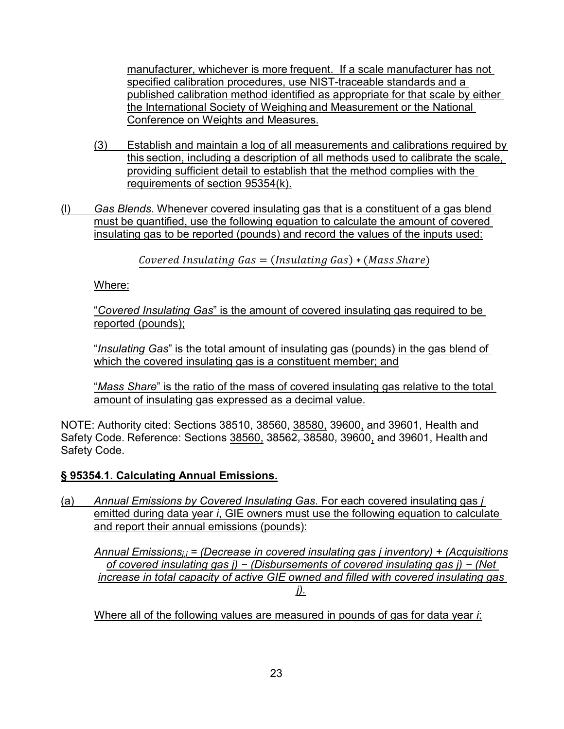manufacturer, whichever is more frequent. If a scale manufacturer has not specified calibration procedures, use NIST-traceable standards and a published calibration method identified as appropriate for that scale by either the International Society of Weighing and Measurement or the National Conference on Weights and Measures.

- (3) Establish and maintain a log of all measurements and calibrations required by this section, including a description of all methods used to calibrate the scale, providing sufficient detail to establish that the method complies with the requirements of section 95354(k).
- (l) *Gas Blends*. Whenever covered insulating gas that is a constituent of a gas blend must be quantified, use the following equation to calculate the amount of covered insulating gas to be reported (pounds) and record the values of the inputs used:

 $Covered \, Insulating \, Gas = (Insulating \, Gas) * (Mass \,Share)$ 

Where:

"*Covered Insulating Gas*" is the amount of covered insulating gas required to be reported (pounds);

 "*Insulating Gas*" is the total amount of insulating gas (pounds) in the gas blend of which the covered insulating gas is a constituent member; and

 amount of insulating gas expressed as a decimal value. "*Mass Share*" is the ratio of the mass of covered insulating gas relative to the total

 NOTE: Authority cited: Sections 38510, 38560, 38580, 39600, and 39601, Health and Safety Code. Reference: Sections <u>38560,</u> 3<del>8562, 38580,</del> 39600, and 39601, Health and Safety Code.

# **§ 95354.1. Calculating Annual Emissions.**

 emitted during data year *i*, GIE owners must use the following equation to calculate (a) *Annual Emissions by Covered Insulating Gas*. For each covered insulating gas *j*  and report their annual emissions (pounds):

 *of covered insulating gas j) − (Disbursements of covered insulating gas j) − (Net increase in total capacity of active GIE owned and filled with covered insulating gas Annual Emissionsj,i = (Decrease in covered insulating gas j inventory) + (Acquisitions j).* 

Where all of the following values are measured in pounds of gas for data year *i*: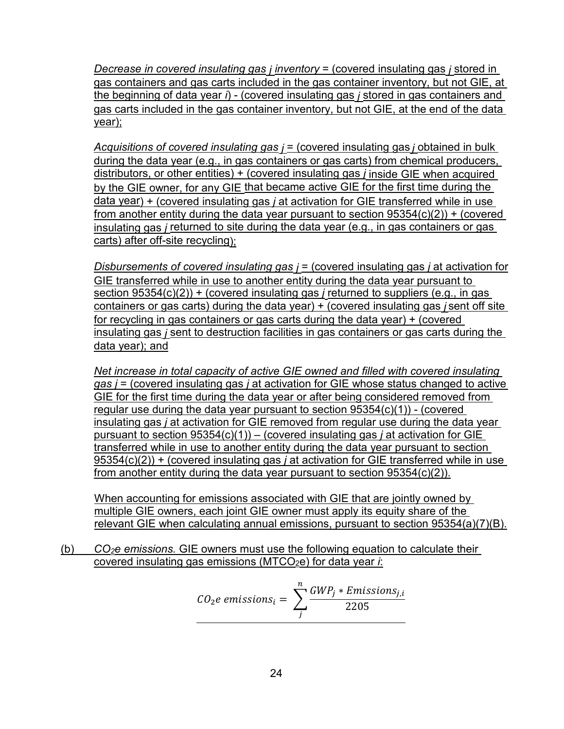*Decrease in covered insulating gas <i>j* inventory = (covered insulating gas *j* stored in gas containers and gas carts included in the gas container inventory, but not GIE, at the beginning of data year *i*) - (covered insulating gas *j* stored in gas containers and gas carts included in the gas container inventory, but not GIE, at the end of the data year);

by the GIE owner, for any GIE that became active GIE for the first time during the *Acquisitions of covered insulating gas j* = (covered insulating gas *j* obtained in bulk during the data year (e.g., in gas containers or gas carts) from chemical producers, distributors, or other entities) + (covered insulating gas *j* inside GIE when acquired data year) + (covered insulating gas *j* at activation for GIE transferred while in use from another entity during the data year pursuant to section 95354(c)(2)) + (covered insulating gas *j* returned to site during the data year (e.g., in gas containers or gas carts) after off-site recycling);

 *Disbursements of covered insulating gas j* = (covered insulating gas *j* at activation for section 95354(c)(2)) + (covered insulating gas *j* returned to suppliers (e.g., in gas GIE transferred while in use to another entity during the data year pursuant to containers or gas carts) during the data year) + (covered insulating gas *j* sent off site for recycling in gas containers or gas carts during the data year) + (covered insulating gas *j* sent to destruction facilities in gas containers or gas carts during the data year); and

 GIE for the first time during the data year or after being considered removed from insulating gas *j* at activation for GIE removed from regular use during the data year pursuant to section 95354(c)(1)) – (covered insulating gas *j* at activation for GIE transferred while in use to another entity during the data year pursuant to section from another entity during the data year pursuant to section 95354(c)(2)). *Net increase in total capacity of active GIE owned and filled with covered insulating gas j* = (covered insulating gas *j* at activation for GIE whose status changed to active regular use during the data year pursuant to section 95354(c)(1)) - (covered 95354(c)(2)) + (covered insulating gas *j* at activation for GIE transferred while in use

 relevant GIE when calculating annual emissions, pursuant to section 95354(a)(7)(B). When accounting for emissions associated with GIE that are jointly owned by multiple GIE owners, each joint GIE owner must apply its equity share of the

(b) *CO2e emissions.* GIE owners must use the following equation to calculate their covered insulating gas emissions (MTCO<sub>2</sub>e) for data year *i*:

$$
CO_2e\text{ emissions}_i = \sum_{j}^{n} \frac{GWP_j * Emissions_{j,i}}{2205}
$$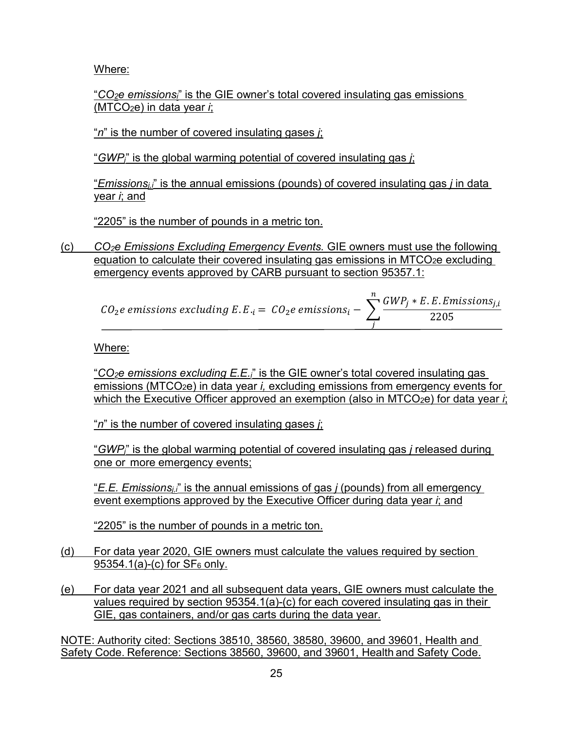Where:

 "*CO2e emissionsi*" is the GIE owner's total covered insulating gas emissions (MTCO2e) in data year *i*;

"*n*" is the number of covered insulating gases *j*;

"*GWPj*" is the global warming potential of covered insulating gas *j*;

"*Emissionsj,i*" is the annual emissions (pounds) of covered insulating gas *j* in data year *i*; and

"2205" is the number of pounds in a metric ton.

(c) *CO2e Emissions Excluding Emergency Events.* GIE owners must use the following equation to calculate their covered insulating gas emissions in MTCO<sub>2</sub>e excluding emergency events approved by CARB pursuant to section 95357.1:

|                                                                                  | $\sum_{i} GWP_i * E.E.E.$ Emissions <sub>i.i</sub> |
|----------------------------------------------------------------------------------|----------------------------------------------------|
| $CO_2e$ emissions excluding E.E. <sub>i</sub> = $CO_2e$ emissions <sub>i</sub> - | 2205                                               |

Where:

 emissions (MTCO2e) in data year *i,* excluding emissions from emergency events for "*CO2e emissions excluding E.E.i*" is the GIE owner's total covered insulating gas which the Executive Officer approved an exemption (also in MTCO<sub>2</sub>e) for data year *i*;

"*n*" is the number of covered insulating gases *j*;

<u>one or more emergency events;</u> "*GWPj*" is the global warming potential of covered insulating gas *j* released during

 "*E.E. Emissionsj,i*" is the annual emissions of gas *j* (pounds) from all emergency event exemptions approved by the Executive Officer during data year *i*; and

"2205" is the number of pounds in a metric ton.

- <u>95354.1(a)-(c) for SF<sub>6</sub> only.</u> (d) For data year 2020, GIE owners must calculate the values required by section
- (e) For data year 2021 and all subsequent data years, GIE owners must calculate the values required by section 95354.1(a)-(c) for each covered insulating gas in their GIE, gas containers, and/or gas carts during the data year.

 Safety Code. Reference: Sections 38560, 39600, and 39601, Health and Safety Code. NOTE: Authority cited: Sections 38510, 38560, 38580, 39600, and 39601, Health and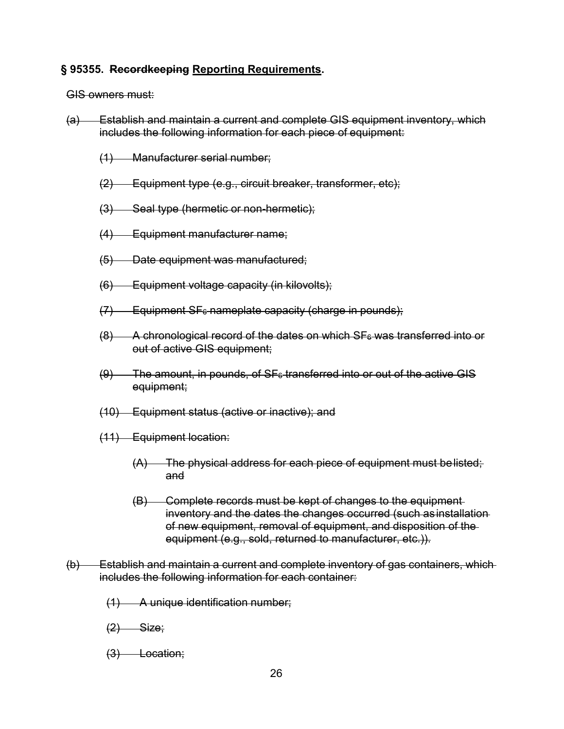### **§ 95355. Recordkeeping Reporting Requirements.**

GIS owners must:

- includes the following information for each piece of equipment: (a) Establish and maintain a current and complete GIS equipment inventory, which
	- (1) Manufacturer serial number;
	- (2) Equipment type (e.g., circuit breaker, transformer, etc);
	- (3) Seal type (hermetic or non-hermetic);
	- (4) Equipment manufacturer name;
	- (5) Date equipment was manufactured;
	- (6) Equipment voltage capacity (in kilovolts);
	- $(7)$  Equipment SF $_{6}$  nameplate capacity (charge in pounds);
	- out of active GIS equipment;  $(8)$  A chronological record of the dates on which SF $_6$  was transferred into or
	- $(9)$  The amount, in pounds, of SF $_6$  transferred into or out of the active GIS equipment;
	- (10) Equipment status (active or inactive); and
	- (11) Equipment location:
		- (A) The physical address for each piece of equipment must belisted; and
		- equipment (e.g., sold, returned to manufacturer, etc.)). (B) Complete records must be kept of changes to the equipment inventory and the dates the changes occurred (such as installation of new equipment, removal of equipment, and disposition of the
- (b) Establish and maintain a current and complete inventory of gas containers, which includes the following information for each container:
	- (1) A unique identification number;
	- <del>(2) Size;</del>
	- (3) Location;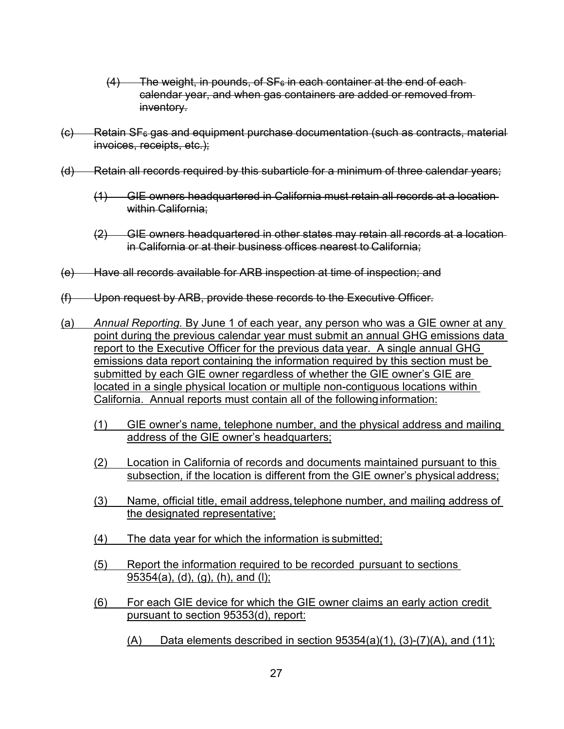- $(4)$  The weight, in pounds, of SF $<sub>6</sub>$  in each container at the end of each-</sub> calendar year, and when gas containers are added or removed from inventory.
- $(c)$  Retain SF $6$  gas and equipment purchase documentation (such as contracts, material invoices, receipts, etc.);
- (d) Retain all records required by this subarticle for a minimum of three calendar years;
	- within California; (1) GIE owners headquartered in California must retain all records at a location
	- in California or at their business offices nearest to California; (2) GIE owners headquartered in other states may retain all records at a location
- (e) Have all records available for ARB inspection at time of inspection; and
- (f) Upon request by ARB, provide these records to the Executive Officer.
- (a) *Annual Reporting.* By June 1 of each year, any person who was a GIE owner at any point during the previous calendar year must submit an annual GHG emissions data report to the Executive Officer for the previous data year. A single annual GHG emissions data report containing the information required by this section must be submitted by each GIE owner regardless of whether the GIE owner's GIE are located in a single physical location or multiple non-contiguous locations within California. Annual reports must contain all of the followinginformation:
	- (1) GIE owner's name, telephone number, and the physical address and mailing address of the GIE owner's headquarters;
	- subsection, if the location is different from the GIE owner's physical address; (2) Location in California of records and documents maintained pursuant to this
	- (3) Name, official title, email address,telephone number, and mailing address of the designated representative;
	- (4) The data year for which the information is submitted;
	- (5) Report the information required to be recorded pursuant to sections 95354(a), (d), (g), (h), and (l);
	- (6) For each GIE device for which the GIE owner claims an early action credit pursuant to section 95353(d), report:
		- $(A)$  Data elements described in section 95354(a)(1), (3)-(7)(A), and (11);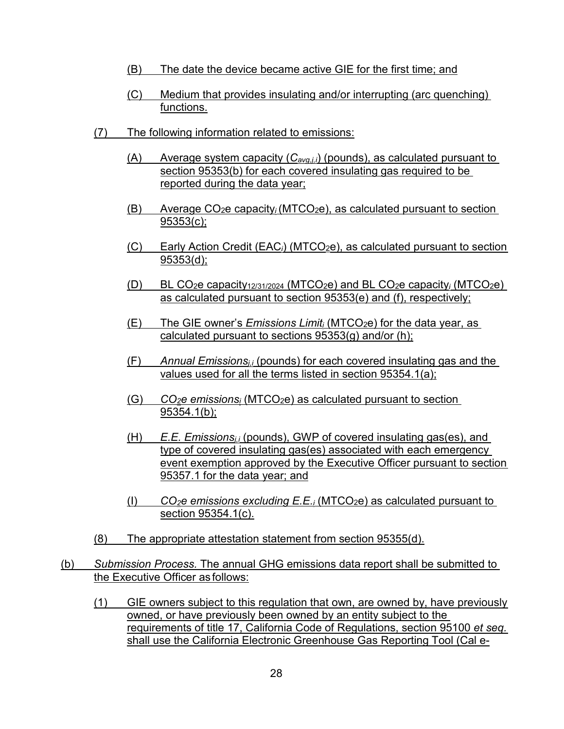- (B) The date the device became active GIE for the first time; and
- (C) Medium that provides insulating and/or interrupting (arc quenching) functions.
- (7) The following information related to emissions:
	- (A) Average system capacity (*Cavg,j,i*) (pounds), as calculated pursuant to section 95353(b) for each covered insulating gas required to be reported during the data year;
	- (B) Average CO2e capacity*i* (MTCO2e), as calculated pursuant to section 95353(c);
	- (C) Early Action Credit (EAC*i*) (MTCO2e), as calculated pursuant to section 95353(d);
	- (D) BL CO2e capacity12/31/2024 (MTCO2e) and BL CO2e capacity*i* (MTCO2e) as calculated pursuant to section 95353(e) and (f), respectively;
	- (E) The GIE owner's *Emissions Limiti* (MTCO2e) for the data year, as calculated pursuant to sections 95353(g) and/or (h);
	- (F) *Annual Emissionsj,i* (pounds) for each covered insulating gas and the values used for all the terms listed in section 95354.1(a);
	- (G) *CO2e emissionsi* (MTCO2e) as calculated pursuant to section 95354.1(b);
	- 95357.1 for the data year; and (H) *E.E. Emissionsj,i* (pounds), GWP of covered insulating gas(es), and type of covered insulating gas(es) associated with each emergency event exemption approved by the Executive Officer pursuant to section
	- (I) *CO2e emissions excluding E.E.i* (MTCO2e) as calculated pursuant to section 95354.1(c).
- (8) The appropriate attestation statement from section 95355(d).
- the Executive Officer as follows: (b) *Submission Process.* The annual GHG emissions data report shall be submitted to
	- (1) GIE owners subject to this regulation that own, are owned by, have previously owned, or have previously been owned by an entity subject to the requirements of title 17, California Code of Regulations, section 95100 *et seq.*  shall use the California Electronic Greenhouse Gas Reporting Tool (Cal e-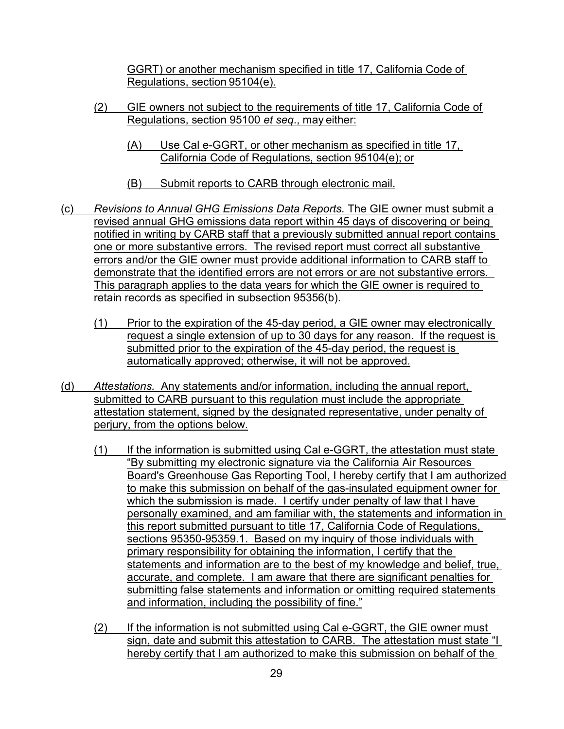GGRT) or another mechanism specified in title 17, California Code of Regulations, section 95104(e).

- Regulations, section 95100 *et seq*., may either: (2) GIE owners not subject to the requirements of title 17, California Code of
	- California Code of Regulations, section 95104(e); or (A) Use Cal e-GGRT, or other mechanism as specified in title 17,
	- (B) Submit reports to CARB through electronic mail.
- (c) *Revisions to Annual GHG Emissions Data Reports.* The GIE owner must submit a revised annual GHG emissions data report within 45 days of discovering or being one or more substantive errors. The revised report must correct all substantive demonstrate that the identified errors are not errors or are not substantive errors. notified in writing by CARB staff that a previously submitted annual report contains errors and/or the GIE owner must provide additional information to CARB staff to This paragraph applies to the data years for which the GIE owner is required to retain records as specified in subsection 95356(b).
	- submitted prior to the expiration of the 45-day period, the request is (1) Prior to the expiration of the 45-day period, a GIE owner may electronically request a single extension of up to 30 days for any reason. If the request is automatically approved; otherwise, it will not be approved.
- (d) *Attestations.* Any statements and/or information, including the annual report, submitted to CARB pursuant to this regulation must include the appropriate attestation statement, signed by the designated representative, under penalty of perjury, from the options below.
	- to make this submission on behalf of the gas-insulated equipment owner for personally examined, and am familiar with, the statements and information in statements and information are to the best of my knowledge and belief, true, accurate, and complete. I am aware that there are significant penalties for (1) If the information is submitted using Cal e-GGRT, the attestation must state "By submitting my electronic signature via the California Air Resources Board's Greenhouse Gas Reporting Tool, I hereby certify that I am authorized which the submission is made. I certify under penalty of law that I have this report submitted pursuant to title 17, California Code of Regulations, sections 95350-95359.1. Based on my inquiry of those individuals with primary responsibility for obtaining the information, I certify that the submitting false statements and information or omitting required statements and information, including the possibility of fine."
	- sign, date and submit this attestation to CARB. The attestation must state "I (2) If the information is not submitted using Cal e-GGRT, the GIE owner must hereby certify that I am authorized to make this submission on behalf of the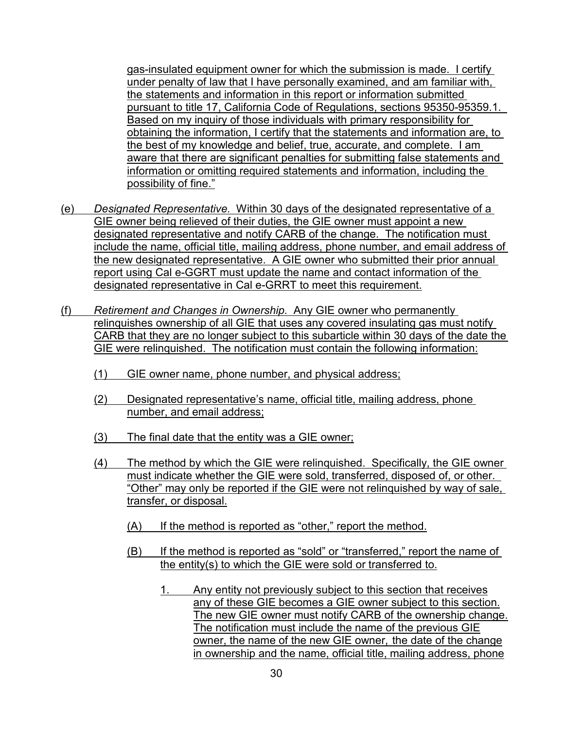gas-insulated equipment owner for which the submission is made. I certify under penalty of law that I have personally examined, and am familiar with, the best of my knowledge and belief, true, accurate, and complete. I am aware that there are significant penalties for submitting false statements and the statements and information in this report or information submitted pursuant to title 17, California Code of Regulations, sections 95350-95359.1. Based on my inquiry of those individuals with primary responsibility for obtaining the information, I certify that the statements and information are, to information or omitting required statements and information, including the possibility of fine."

- (e) *Designated Representative.* Within 30 days of the designated representative of a designated representative and notify CARB of the change. The notification must include the name, official title, mailing address, phone number, and email address of the new designated representative. A GIE owner who submitted their prior annual report using Cal e-GGRT must update the name and contact information of the GIE owner being relieved of their duties, the GIE owner must appoint a new designated representative in Cal e-GRRT to meet this requirement.
- (f) *Retirement and Changes in Ownership.* Any GIE owner who permanently relinquishes ownership of all GIE that uses any covered insulating gas must notify CARB that they are no longer subject to this subarticle within 30 days of the date the GIE were relinquished. The notification must contain the following information:
	- (1) GIE owner name, phone number, and physical address;
	- (2) Designated representative's name, official title, mailing address, phone number, and email address;
	- (3) The final date that the entity was a GIE owner;
	- (4) The method by which the GIE were relinquished. Specifically, the GIE owner must indicate whether the GIE were sold, transferred, disposed of, or other. "Other" may only be reported if the GIE were not relinquished by way of sale, transfer, or disposal.
		- (A) If the method is reported as "other," report the method.
		- (B) If the method is reported as "sold" or "transferred," report the name of the entity(s) to which the GIE were sold or transferred to.
			- 1. Any entity not previously subject to this section that receives any of these GIE becomes a GIE owner subject to this section. The new GIE owner must notify CARB of the ownership change. The notification must include the name of the previous GIE owner, the name of the new GIE owner, the date of the change in ownership and the name, official title, mailing address, phone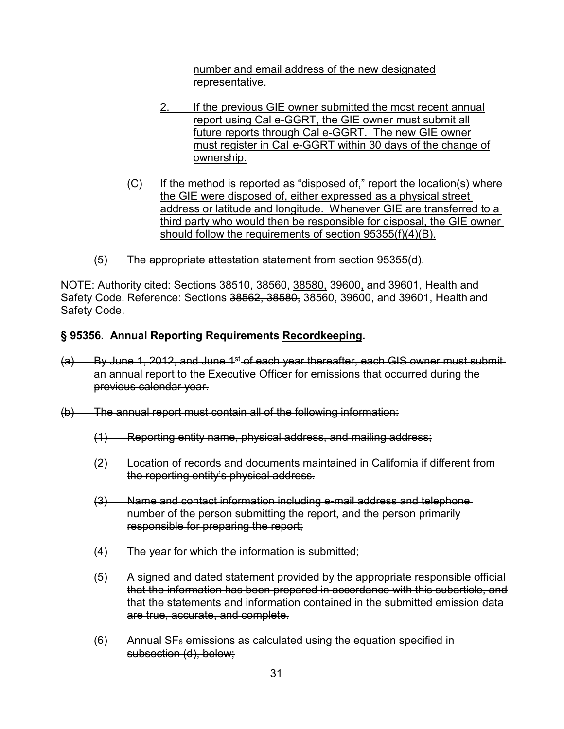number and email address of the new designated representative.

- 2. If the previous GIE owner submitted the most recent annual report using Cal e-GGRT, the GIE owner must submit all future reports through Cal e-GGRT. The new GIE owner must register in Cal e-GGRT within 30 days of the change of ownership.
- the GIE were disposed of, either expressed as a physical street address or latitude and longitude. Whenever GIE are transferred to a (C) If the method is reported as "disposed of," report the location(s) where third party who would then be responsible for disposal, the GIE owner should follow the requirements of section 95355(f)(4)(B).
- (5) The appropriate attestation statement from section 95355(d).

NOTE: Authority cited: Sections 38510, 38560, <u>38580,</u> 39600<u>,</u> and 39601, Health and Safety Code. Reference: Sections <del>38562, 38580,</del> <u>38560,</u> 39600, and 39601, Health and Safety Code.

#### **§ 95356. Annual Reporting Requirements Recordkeeping.**

- $(a)$  By June 1, 2012, and June 1<sup>st</sup> of each year thereafter, each GIS owner must submitan annual report to the Executive Officer for emissions that occurred during the previous calendar year.
- (b) The annual report must contain all of the following information:
	- (1) Reporting entity name, physical address, and mailing address;
	- (2) Location of records and documents maintained in California if different from the reporting entity's physical address.
	- (3) Name and contact information including e-mail address and telephone number of the person submitting the report, and the person primarily responsible for preparing the report;
	- $(4)$  The year for which the information is submitted;
	- (5) A signed and dated statement provided by the appropriate responsible official that the information has been prepared in accordance with this subarticle, and that the statements and information contained in the submitted emission data are true, accurate, and complete.
	- $(6)$  Annual SF $<sub>6</sub>$  emissions as calculated using the equation specified in-</sub> subsection (d), below;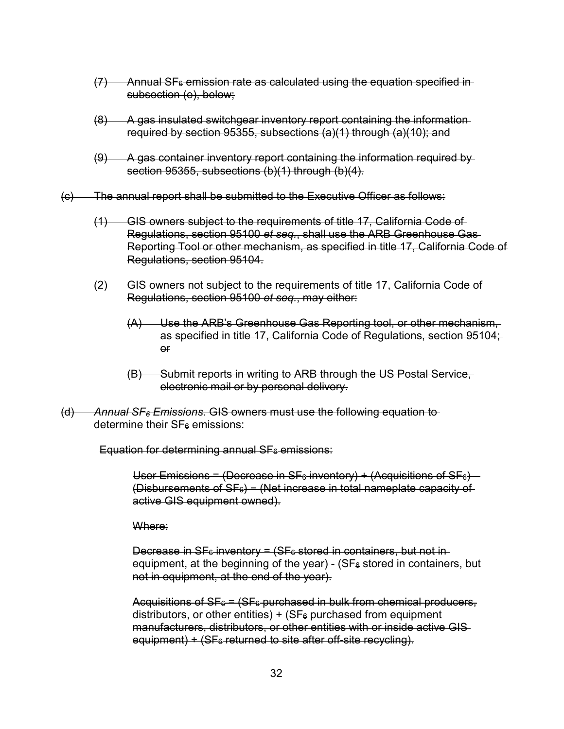- $(7)$  Annual SF $_{6}$  emission rate as calculated using the equation specified insubsection (e), below;
- (8) A gas insulated switchgear inventory report containing the information required by section 95355, subsections (a)(1) through (a)(10); and
- (9) A gas container inventory report containing the information required by section 95355, subsections (b)(1) through (b)(4).
- (c) The annual report shall be submitted to the Executive Officer as follows:
	- (1) GIS owners subject to the requirements of title 17, California Code of Regulations, section 95100 *et seq.*, shall use the ARB Greenhouse Gas Reporting Tool or other mechanism, as specified in title 17, California Code of Regulations, section 95104.
	- (2) GIS owners not subject to the requirements of title 17, California Code of Regulations, section 95100 *et seq.*, may either:
		- (A) Use the ARB's Greenhouse Gas Reporting tool, or other mechanism, as specified in title 17, California Code of Regulations, section 95104; or
		- electronic mail or by personal delivery. (B) Submit reports in writing to ARB through the US Postal Service,
- (d) *Annual SF6 Emissions*. GIS owners must use the following equation to determine their SF<sub>6</sub> emissions:

 ${\sf Equation~for~determining~annual~SF_{6}}$  emissions:

User Emissions = (Decrease in SF<sub>6</sub> inventory) + (Acquisitions of SF<sub>6</sub>) – (Disbursements of SF $_{6}$ ) − (Net increase in total nameplate capacity of active GIS equipment owned).

Where:

equipment, at the beginning of the year) - (SF<sub>6</sub> stored in containers, but Decrease in  $SF<sub>6</sub>$  inventory = (SF $<sub>6</sub>$  stored in containers, but not in-</sub> not in equipment, at the end of the year).

Acquisitions of SF $_{6}$  = (SF $_{6}$ -purchased in bulk from chemical producers, distributors, or other entities)  $+$  (SF $_6$  purchased from equipmentmanufacturers, distributors, or other entities with or inside active GIS equipment) +  $(SF<sub>6</sub>$  returned to site after off-site recycling).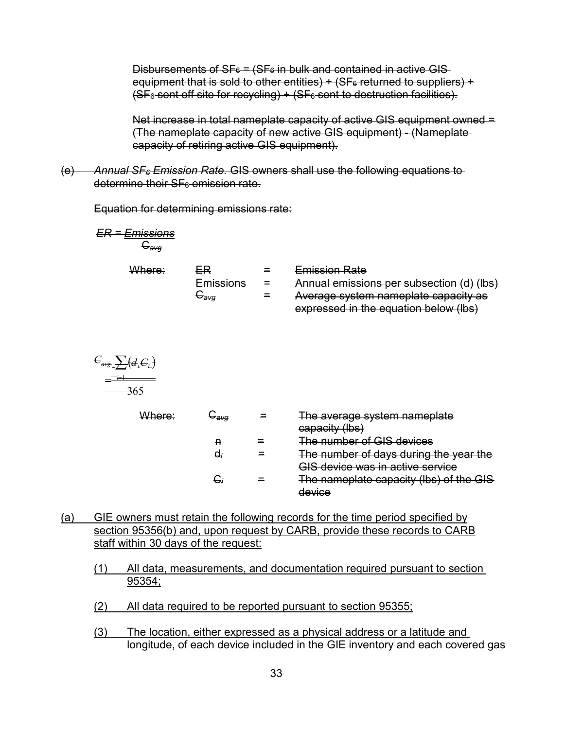Disbursements of SF $_{6}$  = (SF $_{6}$  in bulk and contained in active GIS-(SF $_{6}$  sent off site for recycling) + (SF $_{6}$  sent to destruction facilities). equipment that is sold to other entities)  $+$  (SF $_6$  returned to suppliers)  $+$ 

Net increase in total nameplate capacity of active GIS equipment owned = (The nameplate capacity of new active GIS equipment) - (Nameplate capacity of retiring active GIS equipment).

 $\Theta$ determine their SF<sub>6</sub> emission rate. (e) *Annual SF6 Emission Rate.* GIS owners shall use the following equations to

Equation for determining emissions rate:

*ER = Emissions*  C*avg* 

| Where: | ER               | $=$      | <b>Emission Rate</b>                      |
|--------|------------------|----------|-------------------------------------------|
|        | <b>Emissions</b> | $\equiv$ | Annual emissions per subsection (d) (lbs) |
|        | ⊖ava             | $\equiv$ | Average system nameplate capacity as      |
|        |                  |          | expressed in the equation below (lbs)     |

$$
C_{avg} \underbrace{\sum (d_i C_i)}_{\text{max}} = \underbrace{1 \underbrace{\sum (d_i C_i)}_{\text{max}}}
$$

| <del>Where:</del> | ∽avq | The average system nameplate            |
|-------------------|------|-----------------------------------------|
|                   |      | capacity (lbs)                          |
|                   |      | The number of GIS devices               |
|                   | G,   | The number of days during the year the  |
|                   |      | <b>GIS device was in active service</b> |
|                   |      | The nameplate capacity (lbs) of the GIS |
|                   |      | device                                  |

- section 95356(b) and, upon request by CARB, provide these records to CARB (a) GIE owners must retain the following records for the time period specified by staff within 30 days of the request:
	- (1) All data, measurements, and documentation required pursuant to section 95354;
	- (2) All data required to be reported pursuant to section 95355;
	- (3) The location, either expressed as a physical address or a latitude and longitude, of each device included in the GIE inventory and each covered gas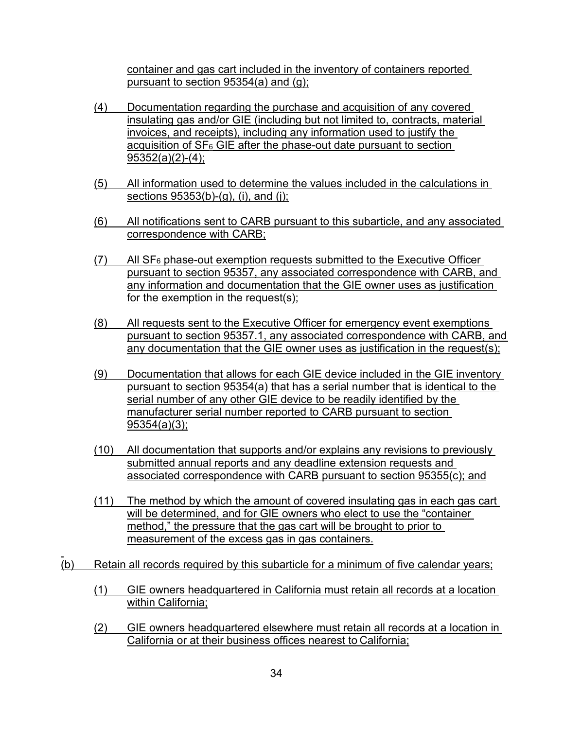container and gas cart included in the inventory of containers reported pursuant to section 95354(a) and (g);

- insulating gas and/or GIE (including but not limited to, contracts, material (4) Documentation regarding the purchase and acquisition of any covered invoices, and receipts), including any information used to justify the acquisition of  $SF_6$  GIE after the phase-out date pursuant to section 95352(a)(2)-(4);
- (5) All information used to determine the values included in the calculations in sections 95353(b)-(g), (i), and (j);
- (6) All notifications sent to CARB pursuant to this subarticle, and any associated correspondence with CARB;
- $(7)$ All  $SF<sub>6</sub>$  phase-out exemption requests submitted to the Executive Officer pursuant to section 95357, any associated correspondence with CARB, and any information and documentation that the GIE owner uses as justification for the exemption in the request(s);
- (8) All requests sent to the Executive Officer for emergency event exemptions pursuant to section 95357.1, any associated correspondence with CARB, and any documentation that the GIE owner uses as justification in the request(s);
- (9) Documentation that allows for each GIE device included in the GIE inventory serial number of any other GIE device to be readily identified by the pursuant to section 95354(a) that has a serial number that is identical to the manufacturer serial number reported to CARB pursuant to section 95354(a)(3);
- (10) All documentation that supports and/or explains any revisions to previously submitted annual reports and any deadline extension requests and associated correspondence with CARB pursuant to section 95355(c); and
- (11) The method by which the amount of covered insulating gas in each gas cart will be determined, and for GIE owners who elect to use the "container method," the pressure that the gas cart will be brought to prior to measurement of the excess gas in gas containers.
- (b) Retain all records required by this subarticle for a minimum of five calendar years;

 $\overline{a}$ 

- within California; (1) GIE owners headquartered in California must retain all records at a location
- California or at their business offices nearest to California; (2) GIE owners headquartered elsewhere must retain all records at a location in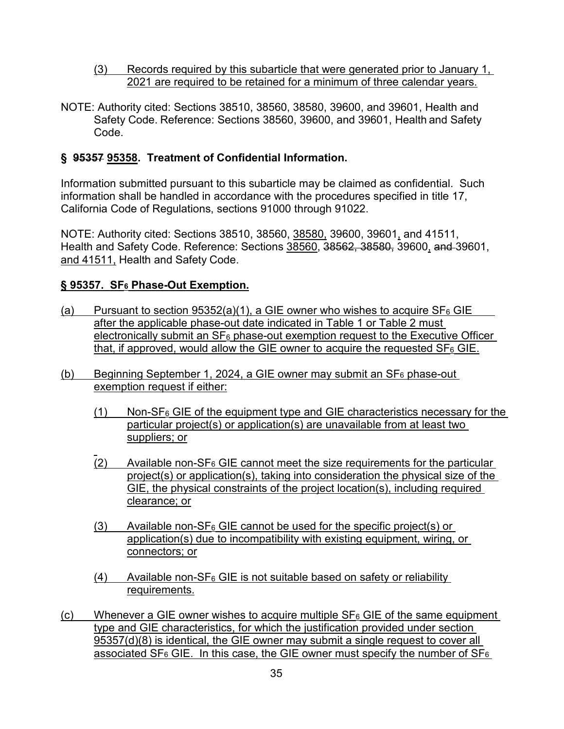- (3) Records required by this subarticle that were generated prior to January 1, 2021 are required to be retained for a minimum of three calendar years.
- Safety Code. Reference: Sections 38560, 39600, and 39601, Health and Safety NOTE: Authority cited: Sections 38510, 38560, 38580, 39600, and 39601, Health and Code.

# **§ 95357 95358. Treatment of Confidential Information.**

Information submitted pursuant to this subarticle may be claimed as confidential. Such information shall be handled in accordance with the procedures specified in title 17, California Code of Regulations, sections 91000 through 91022.

Health and Safety Code. Reference: Sections <u>38560,</u> 3<del>8562, 38580,</del> 39600<u>,</u> a<del>nd </del>39601, and 41511, Health and Safety Code. NOTE: Authority cited: Sections 38510, 38560, 38580, 39600, 39601, and 41511,

#### **§ 95357. SF6 Phase-Out Exemption.**

- (a) Pursuant to section  $95352(a)(1)$ , a GIE owner who wishes to acquire SF<sub>6</sub> GIE <u>electronically submit an SF $_6$  phase-out exemption request to the Executive Officer</u> that, if approved, would allow the GIE owner to acquire the requested SF $_6$  GIE. after the applicable phase-out date indicated in Table 1 or Table 2 must
- (b) Beginning September 1, 2024, a GIE owner may submit an SF<sub>6</sub> phase-out exemption request if either:
	- (1) Non-SF $_6$  GIE of the equipment type and GIE characteristics necessary for the particular project(s) or application(s) are unavailable from at least two suppliers; or
	- $\overline{a}$  $(2)$  Available non-SF<sub>6</sub> GIE cannot meet the size requirements for the particular project(s) or application(s), taking into consideration the physical size of the GIE, the physical constraints of the project location(s), including required clearance; or
	- $(3)$  Available non-SF<sub>6</sub> GIE cannot be used for the specific project(s) or application(s) due to incompatibility with existing equipment, wiring, or connectors; or
	- $(4)$  Available non-SF<sub>6</sub> GIE is not suitable based on safety or reliability requirements.
- 95357(d)(8) is identical, the GIE owner may submit a single request to cover all <u>associated SF $_6$  GIE. In this case, the GIE owner must specify the number of SF $_6$ </u> (c) Whenever a GIE owner wishes to acquire multiple  $SF_6$  GIE of the same equipment type and GIE characteristics, for which the justification provided under section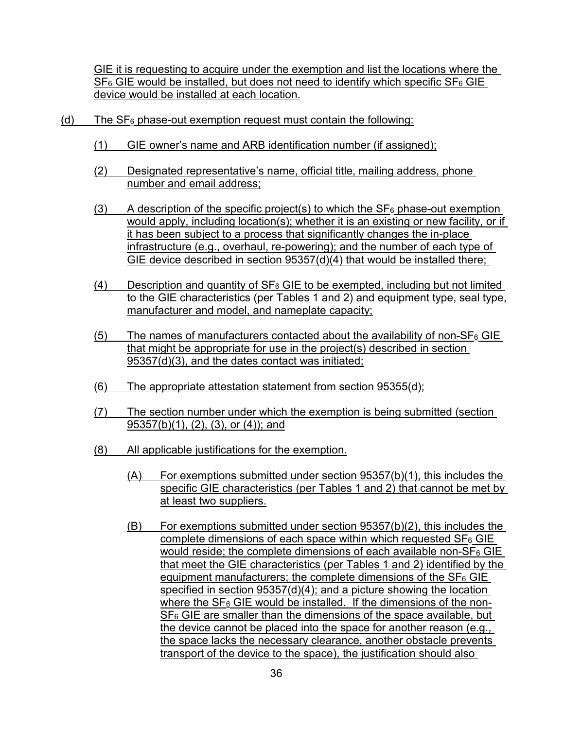<u>SF<sub>6</sub> GIE would be installed, but does not need to identify which specific SF<sub>6</sub> GIE</u> GIE it is requesting to acquire under the exemption and list the locations where the device would be installed at each location.

- (d) The  $SF_6$  phase-out exemption request must contain the following:
	- (1) GIE owner's name and ARB identification number (if assigned);
	- (2) Designated representative's name, official title, mailing address, phone number and email address;
	- (3) A description of the specific project(s) to which the  $SF<sub>6</sub>$  phase-out exemption would apply, including location(s); whether it is an existing or new facility, or if it has been subject to a process that significantly changes the in-place infrastructure (e.g., overhaul, re-powering); and the number of each type of GIE device described in section 95357(d)(4) that would be installed there;
	- to the GIE characteristics (per Tables 1 and 2) and equipment type, seal type, (4) Description and quantity of  $SF_6$  GIE to be exempted, including but not limited manufacturer and model, and nameplate capacity;
	- $(5)$  The names of manufacturers contacted about the availability of non-SF<sub>6</sub> GIE that might be appropriate for use in the project(s) described in section 95357(d)(3), and the dates contact was initiated;
	- (6) The appropriate attestation statement from section 95355(d);
	- (7) The section number under which the exemption is being submitted (section 95357(b)(1), (2), (3), or (4)); and
	- (8) All applicable justifications for the exemption.
		- (A) For exemptions submitted under section 95357(b)(1), this includes the specific GIE characteristics (per Tables 1 and 2) that cannot be met by at least two suppliers.
		- that meet the GIE characteristics (per Tables 1 and 2) identified by the <u>where the SF $_{6}$  GIE would be installed. If the dimensions of the non-</u> the space lacks the necessary clearance, another obstacle prevents (B) For exemptions submitted under section 95357(b)(2), this includes the complete dimensions of each space within which requested  $SF<sub>6</sub> GlE$ would reside; the complete dimensions of each available non- $SF_6$  GIE equipment manufacturers; the complete dimensions of the  $SF<sub>6</sub>$  GIE specified in section 95357(d)(4); and a picture showing the location  $SF<sub>6</sub> GE$  are smaller than the dimensions of the space available, but the device cannot be placed into the space for another reason (e.g., transport of the device to the space), the justification should also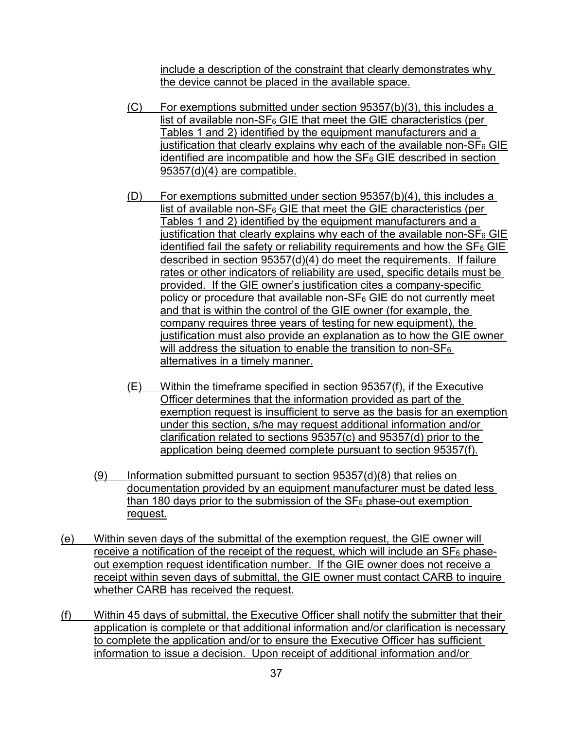include a description of the constraint that clearly demonstrates why the device cannot be placed in the available space.

- $(C)$  For exemptions submitted under section 95357(b)(3), this includes a list of available non- $SF_6$  GIE that meet the GIE characteristics (per Tables 1 and 2) identified by the equipment manufacturers and a justification that clearly explains why each of the available non- $SF<sub>6</sub>$  GIE identified are incompatible and how the  $SF<sub>6</sub> GE$  described in section 95357(d)(4) are compatible.
- <u>list of available non-SF $_{6}$  GIE that meet the GIE characteristics (per</u> described in section 95357(d)(4) do meet the requirements. If failure company requires three years of testing for new equipment), the justification must also provide an explanation as to how the GIE owner  $(D)$  For exemptions submitted under section 95357(b)(4), this includes a Tables 1 and 2) identified by the equipment manufacturers and a justification that clearly explains why each of the available non- $SF<sub>6</sub>$  GIE identified fail the safety or reliability requirements and how the  $SF<sub>6</sub> GlE$ rates or other indicators of reliability are used, specific details must be provided. If the GIE owner's justification cites a company-specific policy or procedure that available non- $SF_6$  GIE do not currently meet and that is within the control of the GIE owner (for example, the will address the situation to enable the transition to non- $SF_6$ alternatives in a timely manner.
- exemption request is insufficient to serve as the basis for an exemption clarification related to sections 95357(c) and 95357(d) prior to the (E) Within the timeframe specified in section 95357(f), if the Executive Officer determines that the information provided as part of the under this section, s/he may request additional information and/or application being deemed complete pursuant to section 95357(f).
- $(9)$  Information submitted pursuant to section 95357(d)(8) that relies on documentation provided by an equipment manufacturer must be dated less than 180 days prior to the submission of the  $SF<sub>6</sub>$  phase-out exemption request.
- <u>receive a notification of the receipt of the request, which will include an SF $_6$  phase-</u> (e) Within seven days of the submittal of the exemption request, the GIE owner will out exemption request identification number. If the GIE owner does not receive a receipt within seven days of submittal, the GIE owner must contact CARB to inquire whether CARB has received the request.
- (f) Within 45 days of submittal, the Executive Officer shall notify the submitter that their application is complete or that additional information and/or clarification is necessary to complete the application and/or to ensure the Executive Officer has sufficient information to issue a decision. Upon receipt of additional information and/or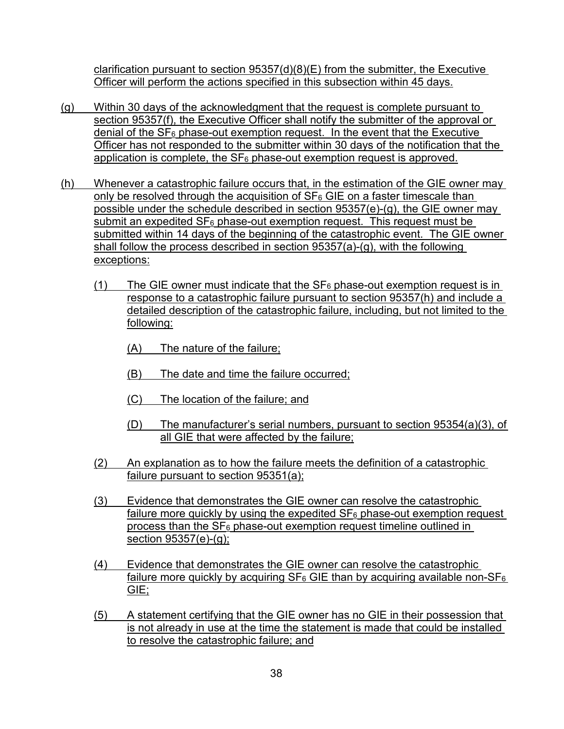clarification pursuant to section 95357(d)(8)(E) from the submitter, the Executive Officer will perform the actions specified in this subsection within 45 days.

- (g) Within 30 days of the acknowledgment that the request is complete pursuant to section 95357(f), the Executive Officer shall notify the submitter of the approval or denial of the  $SF_6$  phase-out exemption request. In the event that the Executive Officer has not responded to the submitter within 30 days of the notification that the application is complete, the  $SF_6$  phase-out exemption request is approved.
- $submit$  an expedited SF $_6$  phase-out exemption request. This request must be (h) Whenever a catastrophic failure occurs that, in the estimation of the GIE owner may only be resolved through the acquisition of  $SF<sub>6</sub> GE$  on a faster timescale than possible under the schedule described in section 95357(e)-(g), the GIE owner may submitted within 14 days of the beginning of the catastrophic event. The GIE owner shall follow the process described in section 95357(a)-(g), with the following exceptions:
	- (1) The GIE owner must indicate that the  $SF_6$  phase-out exemption request is in response to a catastrophic failure pursuant to section 95357(h) and include a detailed description of the catastrophic failure, including, but not limited to the following:
		- (A) The nature of the failure;
		- (B) The date and time the failure occurred;
		- (C) The location of the failure; and
		- (D) The manufacturer's serial numbers, pursuant to section 95354(a)(3), of all GIE that were affected by the failure;
	- (2) An explanation as to how the failure meets the definition of a catastrophic failure pursuant to section 95351(a);
	- (3) Evidence that demonstrates the GIE owner can resolve the catastrophic failure more quickly by using the expedited  $SF_6$  phase-out exemption request process than the  $SF<sub>6</sub>$  phase-out exemption request timeline outlined in section 95357(e)-(g);
	- (4) Evidence that demonstrates the GIE owner can resolve the catastrophic failure more quickly by acquiring  $SF_6$  GIE than by acquiring available non-SF $_6$ GIE;
	- (5) A statement certifying that the GIE owner has no GIE in their possession that is not already in use at the time the statement is made that could be installed to resolve the catastrophic failure; and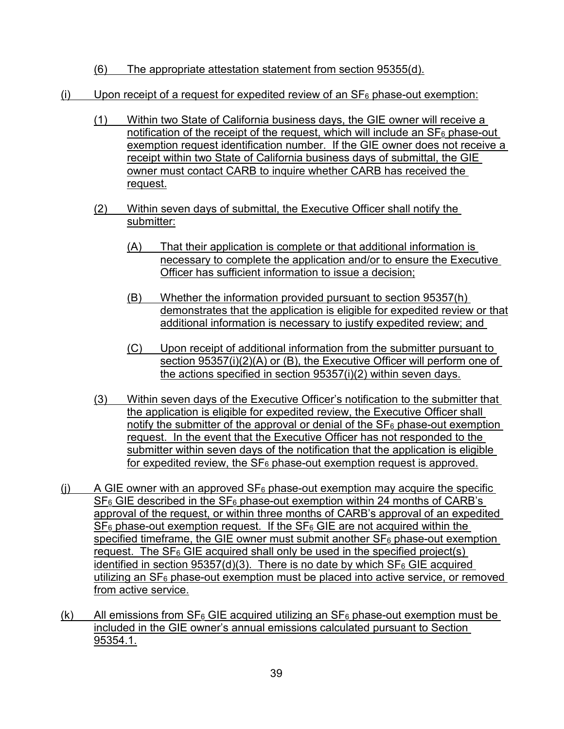- (6) The appropriate attestation statement from section 95355(d).
- (i) Upon receipt of a request for expedited review of an  $SF<sub>6</sub>$  phase-out exemption:
	- <u>notification of the receipt of the request, which will include an SF $_6$  phase-out</u> (1) Within two State of California business days, the GIE owner will receive a exemption request identification number. If the GIE owner does not receive a receipt within two State of California business days of submittal, the GIE owner must contact CARB to inquire whether CARB has received the request.
	- (2) Within seven days of submittal, the Executive Officer shall notify the submitter:
		- (A) That their application is complete or that additional information is necessary to complete the application and/or to ensure the Executive Officer has sufficient information to issue a decision;
		- demonstrates that the application is eligible for expedited review or that (B) Whether the information provided pursuant to section 95357(h) additional information is necessary to justify expedited review; and
		- section 95357(i)(2)(A) or (B), the Executive Officer will perform one of (C) Upon receipt of additional information from the submitter pursuant to the actions specified in section 95357(i)(2) within seven days.
	- the application is eligible for expedited review, the Executive Officer shall <u>notify the submitter of the approval or denial of the SF $_6$  phase-out exemption </u> (3) Within seven days of the Executive Officer's notification to the submitter that request. In the event that the Executive Officer has not responded to the submitter within seven days of the notification that the application is eligible for expedited review, the  $SF_6$  phase-out exemption request is approved.
- approval of the request, or within three months of CARB's approval of an expedited request. The SF<sub>6</sub> GIE acquired shall only be used in the specified project(s) identified in section  $95357(d)(3)$ . There is no date by which SF<sub>6</sub> GIE acquired utilizing an SF<sub>6</sub> phase-out exemption must be placed into active service, or removed (i) A GIE owner with an approved  $SF_6$  phase-out exemption may acquire the specific  $SF<sub>6</sub>$  GIE described in the  $SF<sub>6</sub>$  phase-out exemption within 24 months of CARB's  $SF<sub>6</sub>$  phase-out exemption request. If the  $SF<sub>6</sub>$  GIE are not acquired within the specified timeframe, the GIE owner must submit another  $SF<sub>6</sub>$  phase-out exemption from active service.
- <u>(k) All emissions from SF<sub>6</sub> GIE acquired utilizing an SF<sub>6</sub> phase-out exemption must be</u> included in the GIE owner's annual emissions calculated pursuant to Section 95354.1.